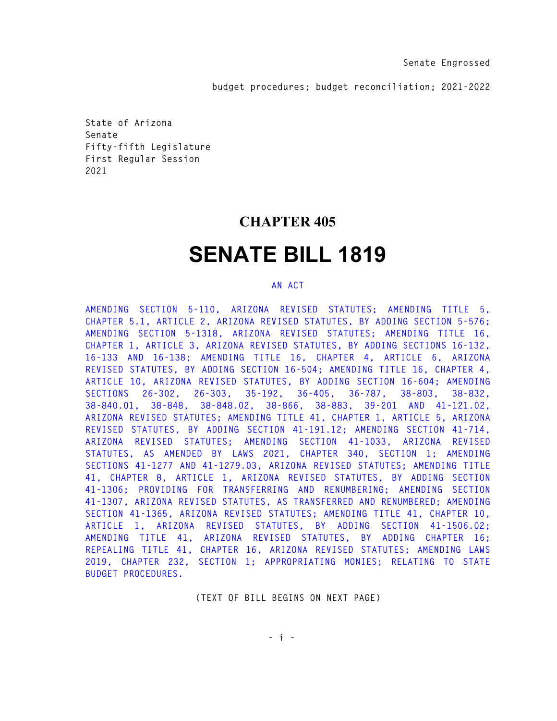**budget procedures; budget reconciliation; 2021-2022** 

**State of Arizona Senate Fifty-fifth Legislature First Regular Session 2021** 

## **CHAPTER 405**

# **SENATE BILL 1819**

#### **AN ACT**

**AMENDING SECTION 5-110, ARIZONA REVISED STATUTES; AMENDING TITLE 5, CHAPTER 5.1, ARTICLE 2, ARIZONA REVISED STATUTES, BY ADDING SECTION 5-576; AMENDING SECTION 5-1318, ARIZONA REVISED STATUTES; AMENDING TITLE 16, CHAPTER 1, ARTICLE 3, ARIZONA REVISED STATUTES, BY ADDING SECTIONS 16-132, 16-133 AND 16-138; AMENDING TITLE 16, CHAPTER 4, ARTICLE 6, ARIZONA REVISED STATUTES, BY ADDING SECTION 16-504; AMENDING TITLE 16, CHAPTER 4, ARTICLE 10, ARIZONA REVISED STATUTES, BY ADDING SECTION 16-604; AMENDING SECTIONS 26-302, 26-303, 35-192, 36-405, 36-787, 38-803, 38-832, 38-840.01, 38-848, 38-848.02, 38-866, 38-883, 39-201 AND 41-121.02, ARIZONA REVISED STATUTES; AMENDING TITLE 41, CHAPTER 1, ARTICLE 5, ARIZONA REVISED STATUTES, BY ADDING SECTION 41-191.12; AMENDING SECTION 41-714, ARIZONA REVISED STATUTES; AMENDING SECTION 41-1033, ARIZONA REVISED STATUTES, AS AMENDED BY LAWS 2021, CHAPTER 340, SECTION 1; AMENDING SECTIONS 41-1277 AND 41-1279.03, ARIZONA REVISED STATUTES; AMENDING TITLE 41, CHAPTER 8, ARTICLE 1, ARIZONA REVISED STATUTES, BY ADDING SECTION 41-1306; PROVIDING FOR TRANSFERRING AND RENUMBERING; AMENDING SECTION 41-1307, ARIZONA REVISED STATUTES, AS TRANSFERRED AND RENUMBERED; AMENDING SECTION 41-1365, ARIZONA REVISED STATUTES; AMENDING TITLE 41, CHAPTER 10, ARTICLE 1, ARIZONA REVISED STATUTES, BY ADDING SECTION 41-1506.02; AMENDING TITLE 41, ARIZONA REVISED STATUTES, BY ADDING CHAPTER 16; REPEALING TITLE 41, CHAPTER 16, ARIZONA REVISED STATUTES; AMENDING LAWS 2019, CHAPTER 232, SECTION 1; APPROPRIATING MONIES; RELATING TO STATE BUDGET PROCEDURES.** 

**(TEXT OF BILL BEGINS ON NEXT PAGE)** 

 **- i - i** - **i** - **i** -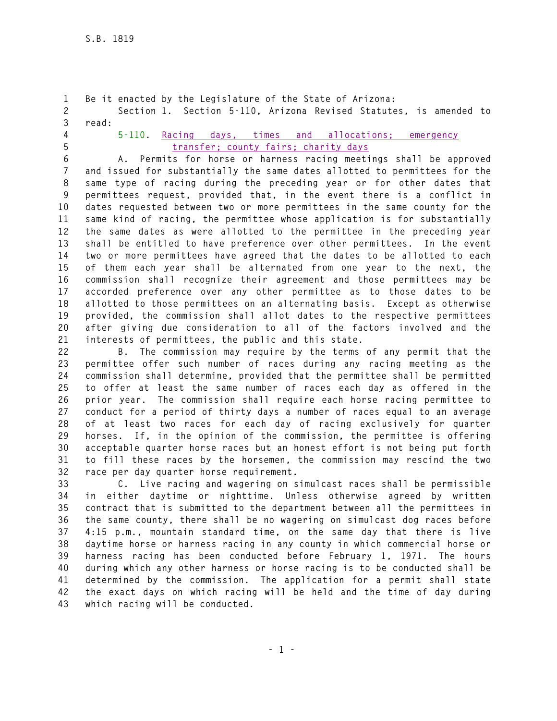```
1 Be it enacted by the Legislature of the State of Arizona: 
2 Section 1. Section 5-110, Arizona Revised Statutes, is amended to 
3 read: 
4 5-110. Racing days, times and allocations; emergency
```
**5 transfer; county fairs; charity days 6 A. Permits for horse or harness racing meetings shall be approved 7 and issued for substantially the same dates allotted to permittees for the 8 same type of racing during the preceding year or for other dates that 9 permittees request, provided that, in the event there is a conflict in 10 dates requested between two or more permittees in the same county for the 11 same kind of racing, the permittee whose application is for substantially 12 the same dates as were allotted to the permittee in the preceding year 13 shall be entitled to have preference over other permittees. In the event 14 two or more permittees have agreed that the dates to be allotted to each 15 of them each year shall be alternated from one year to the next, the 16 commission shall recognize their agreement and those permittees may be 17 accorded preference over any other permittee as to those dates to be 18 allotted to those permittees on an alternating basis. Except as otherwise 19 provided, the commission shall allot dates to the respective permittees 20 after giving due consideration to all of the factors involved and the 21 interests of permittees, the public and this state.** 

**22 B. The commission may require by the terms of any permit that the 23 permittee offer such number of races during any racing meeting as the 24 commission shall determine, provided that the permittee shall be permitted 25 to offer at least the same number of races each day as offered in the 26 prior year. The commission shall require each horse racing permittee to 27 conduct for a period of thirty days a number of races equal to an average 28 of at least two races for each day of racing exclusively for quarter 29 horses. If, in the opinion of the commission, the permittee is offering 30 acceptable quarter horse races but an honest effort is not being put forth 31 to fill these races by the horsemen, the commission may rescind the two 32 race per day quarter horse requirement.** 

**33 C. Live racing and wagering on simulcast races shall be permissible 34 in either daytime or nighttime. Unless otherwise agreed by written 35 contract that is submitted to the department between all the permittees in 36 the same county, there shall be no wagering on simulcast dog races before 37 4:15 p.m., mountain standard time, on the same day that there is live 38 daytime horse or harness racing in any county in which commercial horse or 39 harness racing has been conducted before February 1, 1971. The hours 40 during which any other harness or horse racing is to be conducted shall be 41 determined by the commission. The application for a permit shall state 42 the exact days on which racing will be held and the time of day during 43 which racing will be conducted.**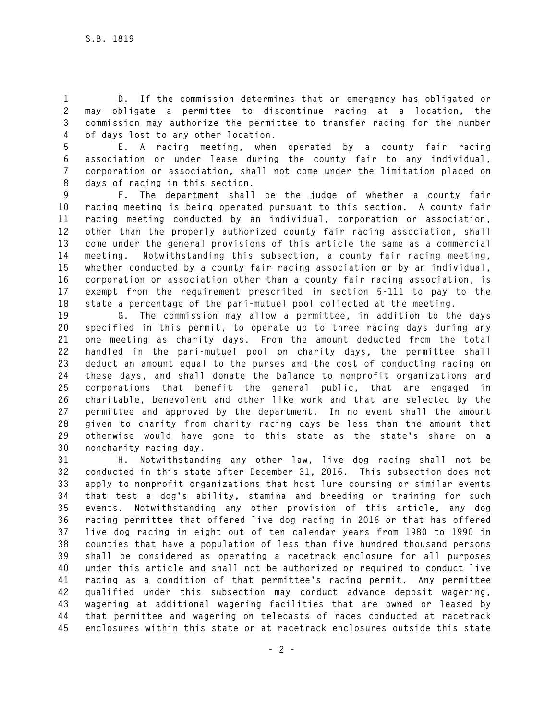**1 D. If the commission determines that an emergency has obligated or 2 may obligate a permittee to discontinue racing at a location, the 3 commission may authorize the permittee to transfer racing for the number 4 of days lost to any other location.** 

**5 E. A racing meeting, when operated by a county fair racing 6 association or under lease during the county fair to any individual, 7 corporation or association, shall not come under the limitation placed on 8 days of racing in this section.** 

**9 F. The department shall be the judge of whether a county fair 10 racing meeting is being operated pursuant to this section. A county fair 11 racing meeting conducted by an individual, corporation or association, 12 other than the properly authorized county fair racing association, shall 13 come under the general provisions of this article the same as a commercial 14 meeting. Notwithstanding this subsection, a county fair racing meeting, 15 whether conducted by a county fair racing association or by an individual, 16 corporation or association other than a county fair racing association, is 17 exempt from the requirement prescribed in section 5-111 to pay to the 18 state a percentage of the pari-mutuel pool collected at the meeting.** 

**19 G. The commission may allow a permittee, in addition to the days 20 specified in this permit, to operate up to three racing days during any 21 one meeting as charity days. From the amount deducted from the total 22 handled in the pari-mutuel pool on charity days, the permittee shall 23 deduct an amount equal to the purses and the cost of conducting racing on 24 these days, and shall donate the balance to nonprofit organizations and 25 corporations that benefit the general public, that are engaged in 26 charitable, benevolent and other like work and that are selected by the 27 permittee and approved by the department. In no event shall the amount 28 given to charity from charity racing days be less than the amount that 29 otherwise would have gone to this state as the state's share on a 30 noncharity racing day.** 

**31 H. Notwithstanding any other law, live dog racing shall not be 32 conducted in this state after December 31, 2016. This subsection does not 33 apply to nonprofit organizations that host lure coursing or similar events 34 that test a dog's ability, stamina and breeding or training for such 35 events. Notwithstanding any other provision of this article, any dog 36 racing permittee that offered live dog racing in 2016 or that has offered 37 live dog racing in eight out of ten calendar years from 1980 to 1990 in 38 counties that have a population of less than five hundred thousand persons 39 shall be considered as operating a racetrack enclosure for all purposes 40 under this article and shall not be authorized or required to conduct live 41 racing as a condition of that permittee's racing permit. Any permittee 42 qualified under this subsection may conduct advance deposit wagering, 43 wagering at additional wagering facilities that are owned or leased by 44 that permittee and wagering on telecasts of races conducted at racetrack 45 enclosures within this state or at racetrack enclosures outside this state**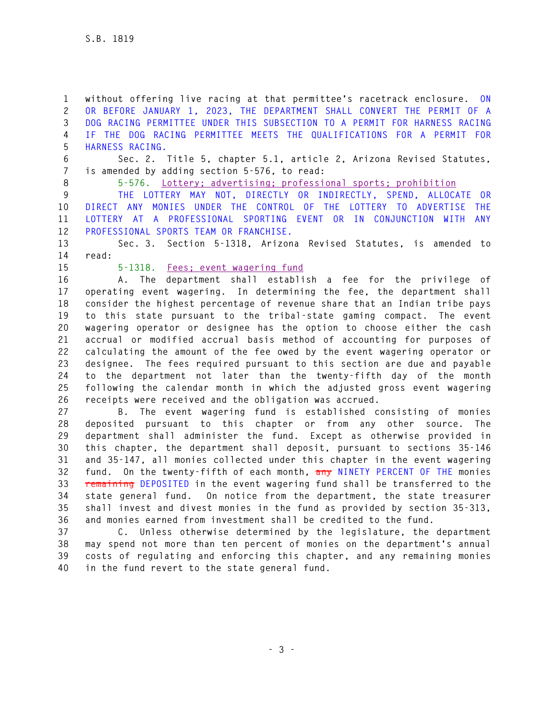**1 without offering live racing at that permittee's racetrack enclosure. ON 2 OR BEFORE JANUARY 1, 2023, THE DEPARTMENT SHALL CONVERT THE PERMIT OF A 3 DOG RACING PERMITTEE UNDER THIS SUBSECTION TO A PERMIT FOR HARNESS RACING 4 IF THE DOG RACING PERMITTEE MEETS THE QUALIFICATIONS FOR A PERMIT FOR 5 HARNESS RACING.** 

**6 Sec. 2. Title 5, chapter 5.1, article 2, Arizona Revised Statutes, 7 is amended by adding section 5-576, to read:** 

**8 5-576. Lottery; advertising; professional sports; prohibition** 

**9 THE LOTTERY MAY NOT, DIRECTLY OR INDIRECTLY, SPEND, ALLOCATE OR 10 DIRECT ANY MONIES UNDER THE CONTROL OF THE LOTTERY TO ADVERTISE THE 11 LOTTERY AT A PROFESSIONAL SPORTING EVENT OR IN CONJUNCTION WITH ANY 12 PROFESSIONAL SPORTS TEAM OR FRANCHISE.** 

**13 Sec. 3. Section 5-1318, Arizona Revised Statutes, is amended to 14 read:** 

#### **15 5-1318. Fees; event wagering fund**

**16 A. The department shall establish a fee for the privilege of 17 operating event wagering. In determining the fee, the department shall 18 consider the highest percentage of revenue share that an Indian tribe pays 19 to this state pursuant to the tribal-state gaming compact. The event 20 wagering operator or designee has the option to choose either the cash 21 accrual or modified accrual basis method of accounting for purposes of 22 calculating the amount of the fee owed by the event wagering operator or 23 designee. The fees required pursuant to this section are due and payable 24 to the department not later than the twenty-fifth day of the month 25 following the calendar month in which the adjusted gross event wagering 26 receipts were received and the obligation was accrued.** 

**27 B. The event wagering fund is established consisting of monies 28 deposited pursuant to this chapter or from any other source. The 29 department shall administer the fund. Except as otherwise provided in 30 this chapter, the department shall deposit, pursuant to sections 35-146 31 and 35-147, all monies collected under this chapter in the event wagering 32 fund. On the twenty-fifth of each month, any NINETY PERCENT OF THE monies 33 remaining DEPOSITED in the event wagering fund shall be transferred to the 34 state general fund. On notice from the department, the state treasurer 35 shall invest and divest monies in the fund as provided by section 35-313, 36 and monies earned from investment shall be credited to the fund.** 

**37 C. Unless otherwise determined by the legislature, the department 38 may spend not more than ten percent of monies on the department's annual 39 costs of regulating and enforcing this chapter, and any remaining monies 40 in the fund revert to the state general fund.**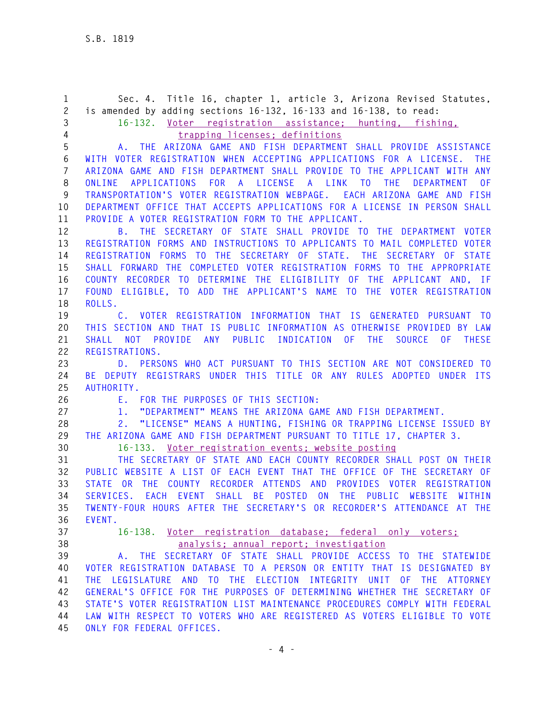**1 Sec. 4. Title 16, chapter 1, article 3, Arizona Revised Statutes, 2 is amended by adding sections 16-132, 16-133 and 16-138, to read: 3 16-132. Voter registration assistance; hunting, fishing, 4 trapping licenses; definitions 5 A. THE ARIZONA GAME AND FISH DEPARTMENT SHALL PROVIDE ASSISTANCE 6 WITH VOTER REGISTRATION WHEN ACCEPTING APPLICATIONS FOR A LICENSE. THE 7 ARIZONA GAME AND FISH DEPARTMENT SHALL PROVIDE TO THE APPLICANT WITH ANY 8 ONLINE APPLICATIONS FOR A LICENSE A LINK TO THE DEPARTMENT OF 9 TRANSPORTATION'S VOTER REGISTRATION WEBPAGE. EACH ARIZONA GAME AND FISH 10 DEPARTMENT OFFICE THAT ACCEPTS APPLICATIONS FOR A LICENSE IN PERSON SHALL 11 PROVIDE A VOTER REGISTRATION FORM TO THE APPLICANT. 12 B. THE SECRETARY OF STATE SHALL PROVIDE TO THE DEPARTMENT VOTER 13 REGISTRATION FORMS AND INSTRUCTIONS TO APPLICANTS TO MAIL COMPLETED VOTER 14 REGISTRATION FORMS TO THE SECRETARY OF STATE. THE SECRETARY OF STATE 15 SHALL FORWARD THE COMPLETED VOTER REGISTRATION FORMS TO THE APPROPRIATE 16 COUNTY RECORDER TO DETERMINE THE ELIGIBILITY OF THE APPLICANT AND, IF 17 FOUND ELIGIBLE, TO ADD THE APPLICANT'S NAME TO THE VOTER REGISTRATION 18 ROLLS. 19 C. VOTER REGISTRATION INFORMATION THAT IS GENERATED PURSUANT TO 20 THIS SECTION AND THAT IS PUBLIC INFORMATION AS OTHERWISE PROVIDED BY LAW 21 SHALL NOT PROVIDE ANY PUBLIC INDICATION OF THE SOURCE OF THESE 22 REGISTRATIONS. 23 D. PERSONS WHO ACT PURSUANT TO THIS SECTION ARE NOT CONSIDERED TO 24 BE DEPUTY REGISTRARS UNDER THIS TITLE OR ANY RULES ADOPTED UNDER ITS 25 AUTHORITY. 26 E. FOR THE PURPOSES OF THIS SECTION: 27 1. "DEPARTMENT" MEANS THE ARIZONA GAME AND FISH DEPARTMENT. 28 2. "LICENSE" MEANS A HUNTING, FISHING OR TRAPPING LICENSE ISSUED BY 29 THE ARIZONA GAME AND FISH DEPARTMENT PURSUANT TO TITLE 17, CHAPTER 3. 30 16-133. Voter registration events; website posting 31 THE SECRETARY OF STATE AND EACH COUNTY RECORDER SHALL POST ON THEIR 32 PUBLIC WEBSITE A LIST OF EACH EVENT THAT THE OFFICE OF THE SECRETARY OF 33 STATE OR THE COUNTY RECORDER ATTENDS AND PROVIDES VOTER REGISTRATION 34 SERVICES. EACH EVENT SHALL BE POSTED ON THE PUBLIC WEBSITE WITHIN 35 TWENTY-FOUR HOURS AFTER THE SECRETARY'S OR RECORDER'S ATTENDANCE AT THE 36 EVENT. 37 16-138. Voter registration database; federal only voters; 38 analysis; annual report; investigation 39 A. THE SECRETARY OF STATE SHALL PROVIDE ACCESS TO THE STATEWIDE 40 VOTER REGISTRATION DATABASE TO A PERSON OR ENTITY THAT IS DESIGNATED BY 41 THE LEGISLATURE AND TO THE ELECTION INTEGRITY UNIT OF THE ATTORNEY 42 GENERAL'S OFFICE FOR THE PURPOSES OF DETERMINING WHETHER THE SECRETARY OF 43 STATE'S VOTER REGISTRATION LIST MAINTENANCE PROCEDURES COMPLY WITH FEDERAL 44 LAW WITH RESPECT TO VOTERS WHO ARE REGISTERED AS VOTERS ELIGIBLE TO VOTE 45 ONLY FOR FEDERAL OFFICES.**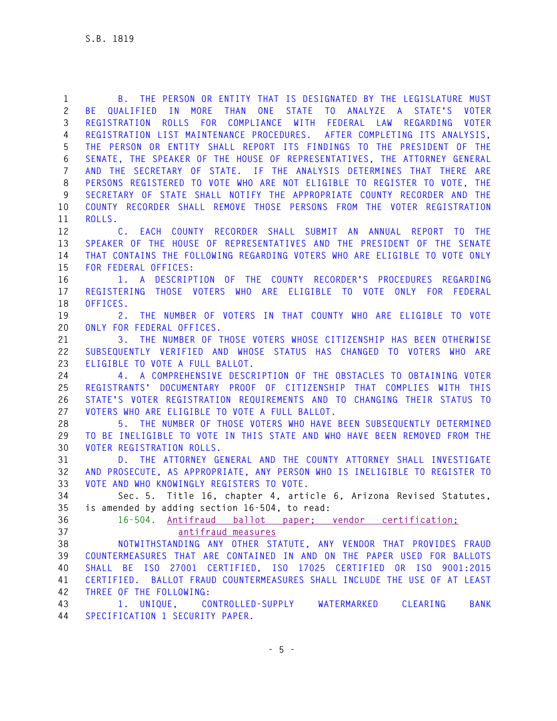**1 B. THE PERSON OR ENTITY THAT IS DESIGNATED BY THE LEGISLATURE MUST 2 BE QUALIFIED IN MORE THAN ONE STATE TO ANALYZE A STATE'S VOTER 3 REGISTRATION ROLLS FOR COMPLIANCE WITH FEDERAL LAW REGARDING VOTER 4 REGISTRATION LIST MAINTENANCE PROCEDURES. AFTER COMPLETING ITS ANALYSIS, 5 THE PERSON OR ENTITY SHALL REPORT ITS FINDINGS TO THE PRESIDENT OF THE 6 SENATE, THE SPEAKER OF THE HOUSE OF REPRESENTATIVES, THE ATTORNEY GENERAL 7 AND THE SECRETARY OF STATE. IF THE ANALYSIS DETERMINES THAT THERE ARE 8 PERSONS REGISTERED TO VOTE WHO ARE NOT ELIGIBLE TO REGISTER TO VOTE, THE 9 SECRETARY OF STATE SHALL NOTIFY THE APPROPRIATE COUNTY RECORDER AND THE 10 COUNTY RECORDER SHALL REMOVE THOSE PERSONS FROM THE VOTER REGISTRATION 11 ROLLS. 12 C. EACH COUNTY RECORDER SHALL SUBMIT AN ANNUAL REPORT TO THE 13 SPEAKER OF THE HOUSE OF REPRESENTATIVES AND THE PRESIDENT OF THE SENATE 14 THAT CONTAINS THE FOLLOWING REGARDING VOTERS WHO ARE ELIGIBLE TO VOTE ONLY 15 FOR FEDERAL OFFICES: 16 1. A DESCRIPTION OF THE COUNTY RECORDER'S PROCEDURES REGARDING 17 REGISTERING THOSE VOTERS WHO ARE ELIGIBLE TO VOTE ONLY FOR FEDERAL 18 OFFICES. 19 2. THE NUMBER OF VOTERS IN THAT COUNTY WHO ARE ELIGIBLE TO VOTE 20 ONLY FOR FEDERAL OFFICES. 21 3. THE NUMBER OF THOSE VOTERS WHOSE CITIZENSHIP HAS BEEN OTHERWISE 22 SUBSEQUENTLY VERIFIED AND WHOSE STATUS HAS CHANGED TO VOTERS WHO ARE 23 ELIGIBLE TO VOTE A FULL BALLOT. 24 4. A COMPREHENSIVE DESCRIPTION OF THE OBSTACLES TO OBTAINING VOTER 25 REGISTRANTS' DOCUMENTARY PROOF OF CITIZENSHIP THAT COMPLIES WITH THIS 26 STATE'S VOTER REGISTRATION REQUIREMENTS AND TO CHANGING THEIR STATUS TO 27 VOTERS WHO ARE ELIGIBLE TO VOTE A FULL BALLOT. 28 5. THE NUMBER OF THOSE VOTERS WHO HAVE BEEN SUBSEQUENTLY DETERMINED 29 TO BE INELIGIBLE TO VOTE IN THIS STATE AND WHO HAVE BEEN REMOVED FROM THE 30 VOTER REGISTRATION ROLLS. 31 D. THE ATTORNEY GENERAL AND THE COUNTY ATTORNEY SHALL INVESTIGATE 32 AND PROSECUTE, AS APPROPRIATE, ANY PERSON WHO IS INELIGIBLE TO REGISTER TO 33 VOTE AND WHO KNOWINGLY REGISTERS TO VOTE. 34 Sec. 5. Title 16, chapter 4, article 6, Arizona Revised Statutes, 35 is amended by adding section 16-504, to read: 36 16-504. Antifraud ballot paper; vendor certification; 37 antifraud measures 38 NOTWITHSTANDING ANY OTHER STATUTE, ANY VENDOR THAT PROVIDES FRAUD 39 COUNTERMEASURES THAT ARE CONTAINED IN AND ON THE PAPER USED FOR BALLOTS 40 SHALL BE ISO 27001 CERTIFIED, ISO 17025 CERTIFIED OR ISO 9001:2015 41 CERTIFIED. BALLOT FRAUD COUNTERMEASURES SHALL INCLUDE THE USE OF AT LEAST 42 THREE OF THE FOLLOWING: 43 1. UNIQUE, CONTROLLED-SUPPLY WATERMARKED CLEARING BANK 44 SPECIFICATION 1 SECURITY PAPER.**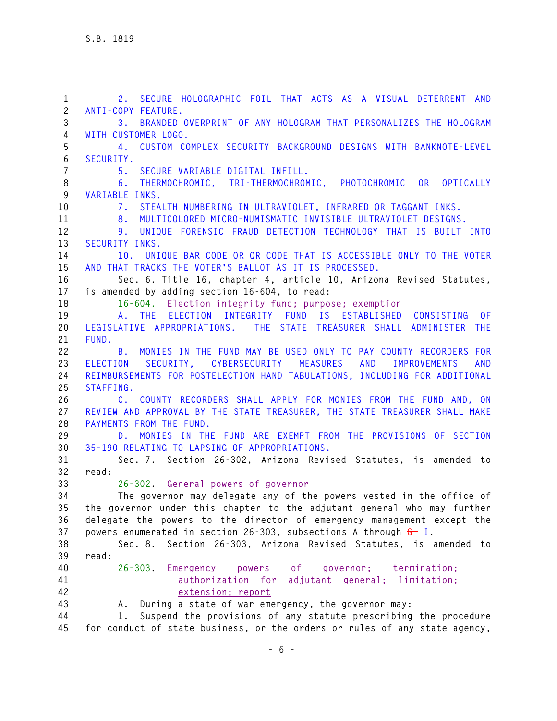**1 2. SECURE HOLOGRAPHIC FOIL THAT ACTS AS A VISUAL DETERRENT AND 2 ANTI-COPY FEATURE. 3 3. BRANDED OVERPRINT OF ANY HOLOGRAM THAT PERSONALIZES THE HOLOGRAM 4 WITH CUSTOMER LOGO. 5 4. CUSTOM COMPLEX SECURITY BACKGROUND DESIGNS WITH BANKNOTE-LEVEL 6 SECURITY. 7 5. SECURE VARIABLE DIGITAL INFILL. 8 6. THERMOCHROMIC, TRI-THERMOCHROMIC, PHOTOCHROMIC OR OPTICALLY 9 VARIABLE INKS. 10 7. STEALTH NUMBERING IN ULTRAVIOLET, INFRARED OR TAGGANT INKS. 11 8. MULTICOLORED MICRO-NUMISMATIC INVISIBLE ULTRAVIOLET DESIGNS. 12 9. UNIQUE FORENSIC FRAUD DETECTION TECHNOLOGY THAT IS BUILT INTO 13 SECURITY INKS. 14 10. UNIQUE BAR CODE OR QR CODE THAT IS ACCESSIBLE ONLY TO THE VOTER 15 AND THAT TRACKS THE VOTER'S BALLOT AS IT IS PROCESSED. 16 Sec. 6. Title 16, chapter 4, article 10, Arizona Revised Statutes, 17 is amended by adding section 16-604, to read: 18 16-604. Election integrity fund; purpose; exemption 19 A. THE ELECTION INTEGRITY FUND IS ESTABLISHED CONSISTING OF 20 LEGISLATIVE APPROPRIATIONS. THE STATE TREASURER SHALL ADMINISTER THE 21 FUND. 22 B. MONIES IN THE FUND MAY BE USED ONLY TO PAY COUNTY RECORDERS FOR 23 ELECTION SECURITY, CYBERSECURITY MEASURES AND IMPROVEMENTS AND 24 REIMBURSEMENTS FOR POSTELECTION HAND TABULATIONS, INCLUDING FOR ADDITIONAL 25 STAFFING. 26 C. COUNTY RECORDERS SHALL APPLY FOR MONIES FROM THE FUND AND, ON 27 REVIEW AND APPROVAL BY THE STATE TREASURER, THE STATE TREASURER SHALL MAKE 28 PAYMENTS FROM THE FUND. 29 D. MONIES IN THE FUND ARE EXEMPT FROM THE PROVISIONS OF SECTION 30 35-190 RELATING TO LAPSING OF APPROPRIATIONS. 31 Sec. 7. Section 26-302, Arizona Revised Statutes, is amended to 32 read: 33 26-302. General powers of governor 34 The governor may delegate any of the powers vested in the office of 35 the governor under this chapter to the adjutant general who may further 36 delegate the powers to the director of emergency management except the 37 powers enumerated in section 26-303, subsections A through G I. 38 Sec. 8. Section 26-303, Arizona Revised Statutes, is amended to 39 read: 40 26-303. Emergency powers of governor; termination; 41 authorization for adjutant general; limitation; 42 extension; report 43 A. During a state of war emergency, the governor may: 44 1. Suspend the provisions of any statute prescribing the procedure 45 for conduct of state business, or the orders or rules of any state agency,**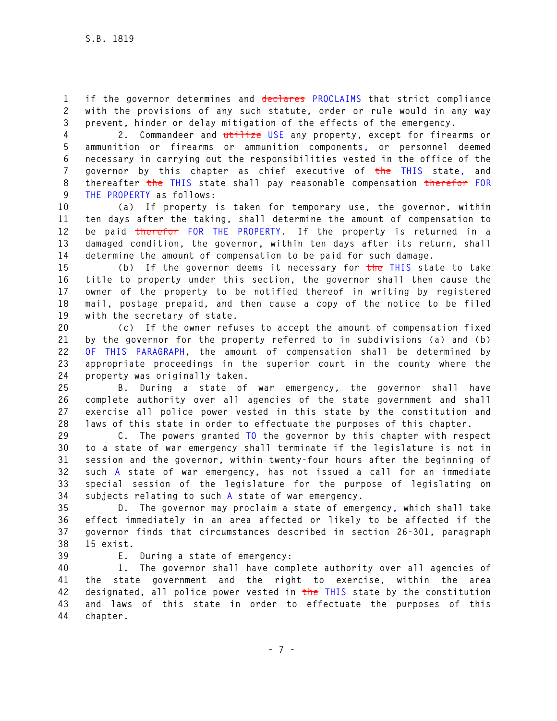**1 if the governor determines and declares PROCLAIMS that strict compliance 2 with the provisions of any such statute, order or rule would in any way 3 prevent, hinder or delay mitigation of the effects of the emergency.** 

**4 2. Commandeer and utilize USE any property, except for firearms or 5 ammunition or firearms or ammunition components, or personnel deemed 6 necessary in carrying out the responsibilities vested in the office of the 7 governor by this chapter as chief executive of the THIS state, and 8 thereafter the THIS state shall pay reasonable compensation therefor FOR 9 THE PROPERTY as follows:** 

**10 (a) If property is taken for temporary use, the governor, within 11 ten days after the taking, shall determine the amount of compensation to 12 be paid therefor FOR THE PROPERTY. If the property is returned in a 13 damaged condition, the governor, within ten days after its return, shall 14 determine the amount of compensation to be paid for such damage.** 

**15 (b) If the governor deems it necessary for the THIS state to take 16 title to property under this section, the governor shall then cause the 17 owner of the property to be notified thereof in writing by registered 18 mail, postage prepaid, and then cause a copy of the notice to be filed 19 with the secretary of state.** 

**20 (c) If the owner refuses to accept the amount of compensation fixed 21 by the governor for the property referred to in subdivisions (a) and (b) 22 OF THIS PARAGRAPH, the amount of compensation shall be determined by 23 appropriate proceedings in the superior court in the county where the 24 property was originally taken.** 

**25 B. During a state of war emergency, the governor shall have 26 complete authority over all agencies of the state government and shall 27 exercise all police power vested in this state by the constitution and 28 laws of this state in order to effectuate the purposes of this chapter.** 

**29 C. The powers granted TO the governor by this chapter with respect 30 to a state of war emergency shall terminate if the legislature is not in 31 session and the governor, within twenty-four hours after the beginning of 32 such A state of war emergency, has not issued a call for an immediate 33 special session of the legislature for the purpose of legislating on 34 subjects relating to such A state of war emergency.** 

**35 D. The governor may proclaim a state of emergency, which shall take 36 effect immediately in an area affected or likely to be affected if the 37 governor finds that circumstances described in section 26-301, paragraph 38 15 exist.** 

**39 E. During a state of emergency:** 

**40 1. The governor shall have complete authority over all agencies of 41 the state government and the right to exercise, within the area 42 designated, all police power vested in the THIS state by the constitution 43 and laws of this state in order to effectuate the purposes of this 44 chapter.**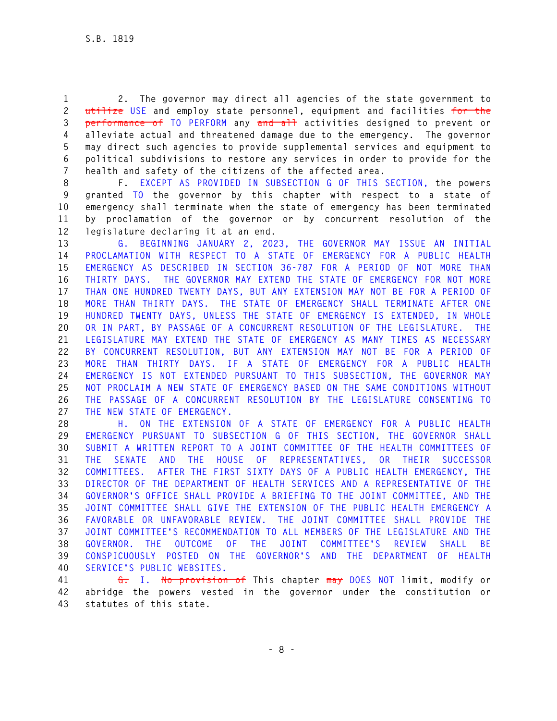**1 2. The governor may direct all agencies of the state government to 2 utilize USE and employ state personnel, equipment and facilities for the 3 performance of TO PERFORM any and all activities designed to prevent or 4 alleviate actual and threatened damage due to the emergency. The governor 5 may direct such agencies to provide supplemental services and equipment to 6 political subdivisions to restore any services in order to provide for the 7 health and safety of the citizens of the affected area.** 

**8 F. EXCEPT AS PROVIDED IN SUBSECTION G OF THIS SECTION, the powers 9 granted TO the governor by this chapter with respect to a state of 10 emergency shall terminate when the state of emergency has been terminated 11 by proclamation of the governor or by concurrent resolution of the 12 legislature declaring it at an end.** 

**13 G. BEGINNING JANUARY 2, 2023, THE GOVERNOR MAY ISSUE AN INITIAL 14 PROCLAMATION WITH RESPECT TO A STATE OF EMERGENCY FOR A PUBLIC HEALTH 15 EMERGENCY AS DESCRIBED IN SECTION 36-787 FOR A PERIOD OF NOT MORE THAN 16 THIRTY DAYS. THE GOVERNOR MAY EXTEND THE STATE OF EMERGENCY FOR NOT MORE 17 THAN ONE HUNDRED TWENTY DAYS, BUT ANY EXTENSION MAY NOT BE FOR A PERIOD OF 18 MORE THAN THIRTY DAYS. THE STATE OF EMERGENCY SHALL TERMINATE AFTER ONE 19 HUNDRED TWENTY DAYS, UNLESS THE STATE OF EMERGENCY IS EXTENDED, IN WHOLE 20 OR IN PART, BY PASSAGE OF A CONCURRENT RESOLUTION OF THE LEGISLATURE. THE 21 LEGISLATURE MAY EXTEND THE STATE OF EMERGENCY AS MANY TIMES AS NECESSARY 22 BY CONCURRENT RESOLUTION, BUT ANY EXTENSION MAY NOT BE FOR A PERIOD OF 23 MORE THAN THIRTY DAYS. IF A STATE OF EMERGENCY FOR A PUBLIC HEALTH 24 EMERGENCY IS NOT EXTENDED PURSUANT TO THIS SUBSECTION, THE GOVERNOR MAY 25 NOT PROCLAIM A NEW STATE OF EMERGENCY BASED ON THE SAME CONDITIONS WITHOUT 26 THE PASSAGE OF A CONCURRENT RESOLUTION BY THE LEGISLATURE CONSENTING TO 27 THE NEW STATE OF EMERGENCY.** 

**28 H. ON THE EXTENSION OF A STATE OF EMERGENCY FOR A PUBLIC HEALTH 29 EMERGENCY PURSUANT TO SUBSECTION G OF THIS SECTION, THE GOVERNOR SHALL 30 SUBMIT A WRITTEN REPORT TO A JOINT COMMITTEE OF THE HEALTH COMMITTEES OF 31 THE SENATE AND THE HOUSE OF REPRESENTATIVES, OR THEIR SUCCESSOR 32 COMMITTEES. AFTER THE FIRST SIXTY DAYS OF A PUBLIC HEALTH EMERGENCY, THE 33 DIRECTOR OF THE DEPARTMENT OF HEALTH SERVICES AND A REPRESENTATIVE OF THE 34 GOVERNOR'S OFFICE SHALL PROVIDE A BRIEFING TO THE JOINT COMMITTEE, AND THE 35 JOINT COMMITTEE SHALL GIVE THE EXTENSION OF THE PUBLIC HEALTH EMERGENCY A 36 FAVORABLE OR UNFAVORABLE REVIEW. THE JOINT COMMITTEE SHALL PROVIDE THE 37 JOINT COMMITTEE'S RECOMMENDATION TO ALL MEMBERS OF THE LEGISLATURE AND THE 38 GOVERNOR. THE OUTCOME OF THE JOINT COMMITTEE'S REVIEW SHALL BE 39 CONSPICUOUSLY POSTED ON THE GOVERNOR'S AND THE DEPARTMENT OF HEALTH 40 SERVICE'S PUBLIC WEBSITES.** 

**41 G. I. No provision of This chapter may DOES NOT limit, modify or 42 abridge the powers vested in the governor under the constitution or 43 statutes of this state.**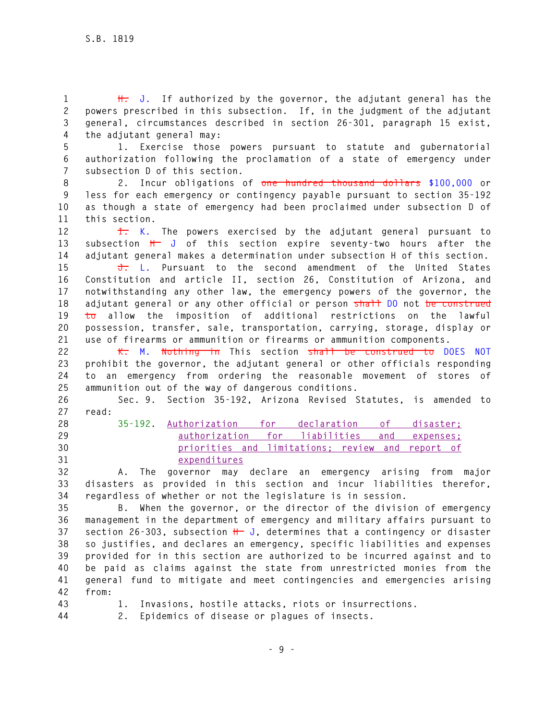**1 H. J. If authorized by the governor, the adjutant general has the 2 powers prescribed in this subsection. If, in the judgment of the adjutant 3 general, circumstances described in section 26-301, paragraph 15 exist, 4 the adjutant general may:** 

**5 1. Exercise those powers pursuant to statute and gubernatorial 6 authorization following the proclamation of a state of emergency under 7 subsection D of this section.** 

**8 2. Incur obligations of one hundred thousand dollars \$100,000 or 9 less for each emergency or contingency payable pursuant to section 35-192 10 as though a state of emergency had been proclaimed under subsection D of 11 this section.** 

**12 I. K. The powers exercised by the adjutant general pursuant to 13 subsection H J of this section expire seventy-two hours after the 14 adjutant general makes a determination under subsection H of this section.** 

**15 J. L. Pursuant to the second amendment of the United States 16 Constitution and article II, section 26, Constitution of Arizona, and 17 notwithstanding any other law, the emergency powers of the governor, the 18 adjutant general or any other official or person shall DO not be construed 19 to allow the imposition of additional restrictions on the lawful 20 possession, transfer, sale, transportation, carrying, storage, display or 21 use of firearms or ammunition or firearms or ammunition components.** 

**22 K. M. Nothing in This section shall be construed to DOES NOT 23 prohibit the governor, the adjutant general or other officials responding 24 to an emergency from ordering the reasonable movement of stores of 25 ammunition out of the way of dangerous conditions.** 

**26 Sec. 9. Section 35-192, Arizona Revised Statutes, is amended to 27 read:** 

**28 35-192. Authorization for declaration of disaster; 29 authorization for liabilities and expenses; 30 priorities and limitations; review and report of 31 expenditures**

**32 A. The governor may declare an emergency arising from major 33 disasters as provided in this section and incur liabilities therefor, 34 regardless of whether or not the legislature is in session.** 

**35 B. When the governor, or the director of the division of emergency 36 management in the department of emergency and military affairs pursuant to 37 section 26-303, subsection H J, determines that a contingency or disaster 38 so justifies, and declares an emergency, specific liabilities and expenses 39 provided for in this section are authorized to be incurred against and to 40 be paid as claims against the state from unrestricted monies from the 41 general fund to mitigate and meet contingencies and emergencies arising 42 from:** 

- **43 1. Invasions, hostile attacks, riots or insurrections.**
- **44 2. Epidemics of disease or plagues of insects.**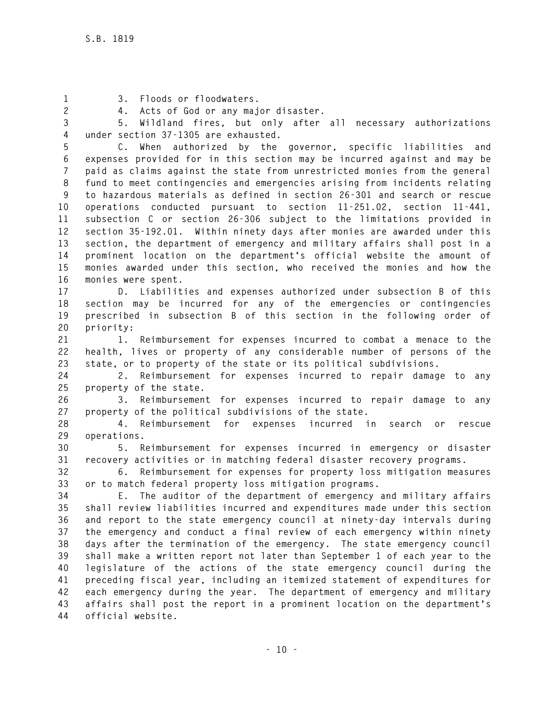**1 3. Floods or floodwaters.** 

**2 4. Acts of God or any major disaster.** 

**3 5. Wildland fires, but only after all necessary authorizations 4 under section 37-1305 are exhausted.** 

**5 C. When authorized by the governor, specific liabilities and 6 expenses provided for in this section may be incurred against and may be 7 paid as claims against the state from unrestricted monies from the general 8 fund to meet contingencies and emergencies arising from incidents relating 9 to hazardous materials as defined in section 26-301 and search or rescue 10 operations conducted pursuant to section 11-251.02, section 11-441, 11 subsection C or section 26-306 subject to the limitations provided in 12 section 35-192.01. Within ninety days after monies are awarded under this 13 section, the department of emergency and military affairs shall post in a 14 prominent location on the department's official website the amount of 15 monies awarded under this section, who received the monies and how the 16 monies were spent.** 

**17 D. Liabilities and expenses authorized under subsection B of this 18 section may be incurred for any of the emergencies or contingencies 19 prescribed in subsection B of this section in the following order of 20 priority:** 

**21 1. Reimbursement for expenses incurred to combat a menace to the 22 health, lives or property of any considerable number of persons of the 23 state, or to property of the state or its political subdivisions.** 

**24 2. Reimbursement for expenses incurred to repair damage to any 25 property of the state.** 

**26 3. Reimbursement for expenses incurred to repair damage to any 27 property of the political subdivisions of the state.** 

**28 4. Reimbursement for expenses incurred in search or rescue 29 operations.** 

**30 5. Reimbursement for expenses incurred in emergency or disaster 31 recovery activities or in matching federal disaster recovery programs.** 

**32 6. Reimbursement for expenses for property loss mitigation measures 33 or to match federal property loss mitigation programs.** 

**34 E. The auditor of the department of emergency and military affairs 35 shall review liabilities incurred and expenditures made under this section 36 and report to the state emergency council at ninety-day intervals during 37 the emergency and conduct a final review of each emergency within ninety 38 days after the termination of the emergency. The state emergency council 39 shall make a written report not later than September 1 of each year to the 40 legislature of the actions of the state emergency council during the 41 preceding fiscal year, including an itemized statement of expenditures for 42 each emergency during the year. The department of emergency and military 43 affairs shall post the report in a prominent location on the department's 44 official website.**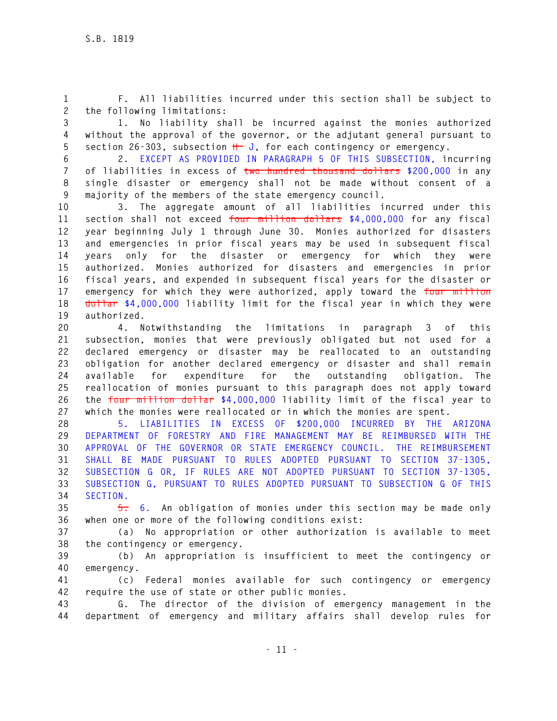**1 F. All liabilities incurred under this section shall be subject to 2 the following limitations:** 

**3 1. No liability shall be incurred against the monies authorized 4 without the approval of the governor, or the adjutant general pursuant to 5 section 26-303, subsection H J, for each contingency or emergency.** 

**6 2. EXCEPT AS PROVIDED IN PARAGRAPH 5 OF THIS SUBSECTION, incurring 7 of liabilities in excess of two hundred thousand dollars \$200,000 in any 8 single disaster or emergency shall not be made without consent of a 9 majority of the members of the state emergency council.** 

**10 3. The aggregate amount of all liabilities incurred under this 11 section shall not exceed four million dollars \$4,000,000 for any fiscal 12 year beginning July 1 through June 30. Monies authorized for disasters 13 and emergencies in prior fiscal years may be used in subsequent fiscal 14 years only for the disaster or emergency for which they were 15 authorized. Monies authorized for disasters and emergencies in prior 16 fiscal years, and expended in subsequent fiscal years for the disaster or 17 emergency for which they were authorized, apply toward the four million 18 dollar \$4,000,000 liability limit for the fiscal year in which they were 19 authorized.** 

**20 4. Notwithstanding the limitations in paragraph 3 of this 21 subsection, monies that were previously obligated but not used for a 22 declared emergency or disaster may be reallocated to an outstanding 23 obligation for another declared emergency or disaster and shall remain 24 available for expenditure for the outstanding obligation. The 25 reallocation of monies pursuant to this paragraph does not apply toward 26 the four million dollar \$4,000,000 liability limit of the fiscal year to 27 which the monies were reallocated or in which the monies are spent.** 

**28 5. LIABILITIES IN EXCESS OF \$200,000 INCURRED BY THE ARIZONA 29 DEPARTMENT OF FORESTRY AND FIRE MANAGEMENT MAY BE REIMBURSED WITH THE 30 APPROVAL OF THE GOVERNOR OR STATE EMERGENCY COUNCIL. THE REIMBURSEMENT 31 SHALL BE MADE PURSUANT TO RULES ADOPTED PURSUANT TO SECTION 37-1305, 32 SUBSECTION G OR, IF RULES ARE NOT ADOPTED PURSUANT TO SECTION 37-1305, 33 SUBSECTION G, PURSUANT TO RULES ADOPTED PURSUANT TO SUBSECTION G OF THIS 34 SECTION.** 

**35 5. 6. An obligation of monies under this section may be made only 36 when one or more of the following conditions exist:** 

**37 (a) No appropriation or other authorization is available to meet 38 the contingency or emergency.** 

**39 (b) An appropriation is insufficient to meet the contingency or 40 emergency.** 

**41 (c) Federal monies available for such contingency or emergency 42 require the use of state or other public monies.** 

**43 G. The director of the division of emergency management in the 44 department of emergency and military affairs shall develop rules for**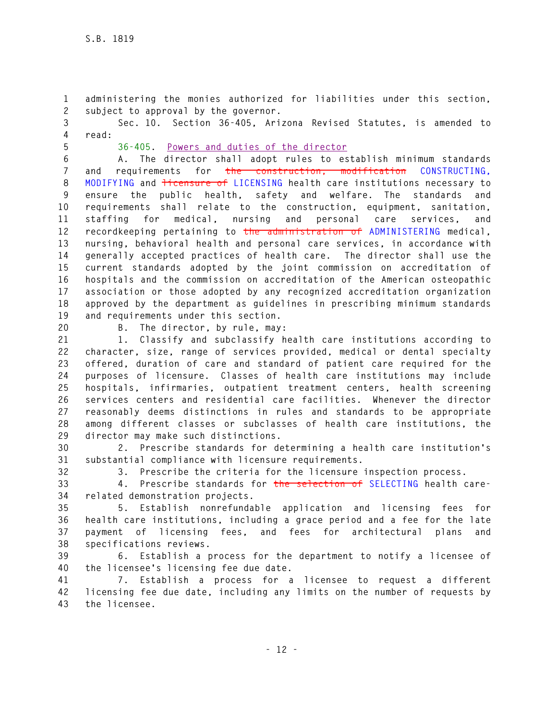**1 administering the monies authorized for liabilities under this section, 2 subject to approval by the governor.** 

**3 Sec. 10. Section 36-405, Arizona Revised Statutes, is amended to 4 read:** 

**5 36-405. Powers and duties of the director**

**6 A. The director shall adopt rules to establish minimum standards 7 and requirements for the construction, modification CONSTRUCTING, 8 MODIFYING and licensure of LICENSING health care institutions necessary to 9 ensure the public health, safety and welfare. The standards and 10 requirements shall relate to the construction, equipment, sanitation, 11 staffing for medical, nursing and personal care services, and 12 recordkeeping pertaining to the administration of ADMINISTERING medical, 13 nursing, behavioral health and personal care services, in accordance with 14 generally accepted practices of health care. The director shall use the 15 current standards adopted by the joint commission on accreditation of 16 hospitals and the commission on accreditation of the American osteopathic 17 association or those adopted by any recognized accreditation organization 18 approved by the department as guidelines in prescribing minimum standards 19 and requirements under this section.** 

**20 B. The director, by rule, may:** 

**21 1. Classify and subclassify health care institutions according to 22 character, size, range of services provided, medical or dental specialty 23 offered, duration of care and standard of patient care required for the 24 purposes of licensure. Classes of health care institutions may include 25 hospitals, infirmaries, outpatient treatment centers, health screening 26 services centers and residential care facilities. Whenever the director 27 reasonably deems distinctions in rules and standards to be appropriate 28 among different classes or subclasses of health care institutions, the 29 director may make such distinctions.** 

**30 2. Prescribe standards for determining a health care institution's 31 substantial compliance with licensure requirements.** 

**32 3. Prescribe the criteria for the licensure inspection process.** 

**33 4. Prescribe standards for the selection of SELECTING health care-34 related demonstration projects.** 

**35 5. Establish nonrefundable application and licensing fees for 36 health care institutions, including a grace period and a fee for the late 37 payment of licensing fees, and fees for architectural plans and 38 specifications reviews.** 

**39 6. Establish a process for the department to notify a licensee of 40 the licensee's licensing fee due date.** 

**41 7. Establish a process for a licensee to request a different 42 licensing fee due date, including any limits on the number of requests by 43 the licensee.**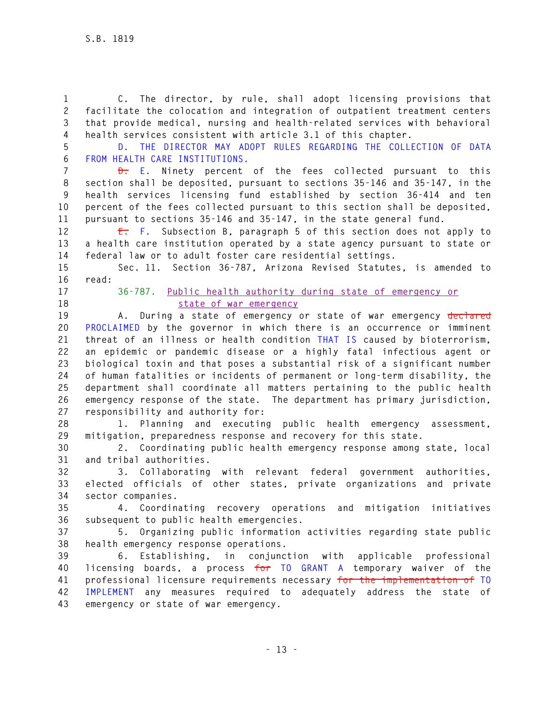**1 C. The director, by rule, shall adopt licensing provisions that 2 facilitate the colocation and integration of outpatient treatment centers 3 that provide medical, nursing and health-related services with behavioral 4 health services consistent with article 3.1 of this chapter.** 

**5 D. THE DIRECTOR MAY ADOPT RULES REGARDING THE COLLECTION OF DATA 6 FROM HEALTH CARE INSTITUTIONS.** 

**7 D. E. Ninety percent of the fees collected pursuant to this 8 section shall be deposited, pursuant to sections 35-146 and 35-147, in the 9 health services licensing fund established by section 36-414 and ten 10 percent of the fees collected pursuant to this section shall be deposited, 11 pursuant to sections 35-146 and 35-147, in the state general fund.** 

**12 E. F. Subsection B, paragraph 5 of this section does not apply to 13 a health care institution operated by a state agency pursuant to state or 14 federal law or to adult foster care residential settings.** 

**15 Sec. 11. Section 36-787, Arizona Revised Statutes, is amended to 16 read:** 

**17 36-787. Public health authority during state of emergency or 18 state of war emergency**

**19 A. During a state of emergency or state of war emergency declared 20 PROCLAIMED by the governor in which there is an occurrence or imminent 21 threat of an illness or health condition THAT IS caused by bioterrorism, 22 an epidemic or pandemic disease or a highly fatal infectious agent or 23 biological toxin and that poses a substantial risk of a significant number 24 of human fatalities or incidents of permanent or long-term disability, the 25 department shall coordinate all matters pertaining to the public health 26 emergency response of the state. The department has primary jurisdiction, 27 responsibility and authority for:** 

**28 1. Planning and executing public health emergency assessment, 29 mitigation, preparedness response and recovery for this state.** 

**30 2. Coordinating public health emergency response among state, local 31 and tribal authorities.** 

**32 3. Collaborating with relevant federal government authorities, 33 elected officials of other states, private organizations and private 34 sector companies.** 

**35 4. Coordinating recovery operations and mitigation initiatives 36 subsequent to public health emergencies.** 

**37 5. Organizing public information activities regarding state public 38 health emergency response operations.** 

**39 6. Establishing, in conjunction with applicable professional 40 licensing boards, a process for TO GRANT A temporary waiver of the 41 professional licensure requirements necessary for the implementation of TO 42 IMPLEMENT any measures required to adequately address the state of 43 emergency or state of war emergency.**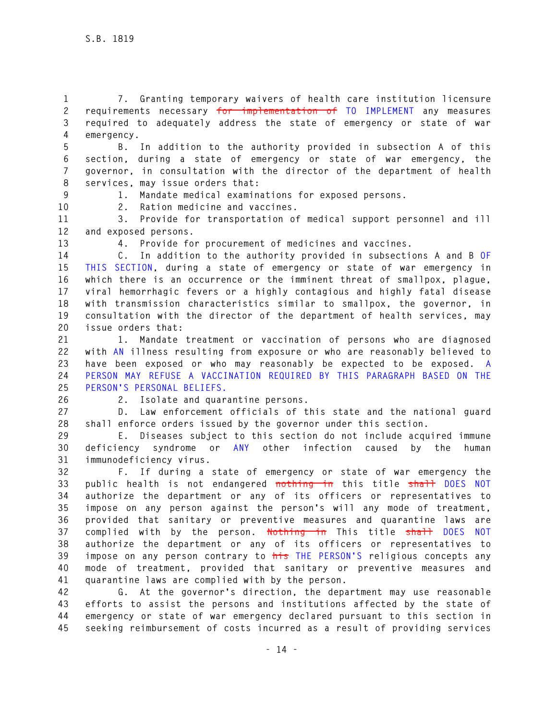**1 7. Granting temporary waivers of health care institution licensure 2 requirements necessary for implementation of TO IMPLEMENT any measures 3 required to adequately address the state of emergency or state of war 4 emergency.** 

**5 B. In addition to the authority provided in subsection A of this 6 section, during a state of emergency or state of war emergency, the 7 governor, in consultation with the director of the department of health 8 services, may issue orders that:** 

**9 1. Mandate medical examinations for exposed persons.** 

**10 2. Ration medicine and vaccines.** 

**11 3. Provide for transportation of medical support personnel and ill 12 and exposed persons.** 

**13 4. Provide for procurement of medicines and vaccines.** 

**14 C. In addition to the authority provided in subsections A and B OF 15 THIS SECTION, during a state of emergency or state of war emergency in 16 which there is an occurrence or the imminent threat of smallpox, plague, 17 viral hemorrhagic fevers or a highly contagious and highly fatal disease 18 with transmission characteristics similar to smallpox, the governor, in 19 consultation with the director of the department of health services, may 20 issue orders that:** 

**21 1. Mandate treatment or vaccination of persons who are diagnosed 22 with AN illness resulting from exposure or who are reasonably believed to 23 have been exposed or who may reasonably be expected to be exposed. A 24 PERSON MAY REFUSE A VACCINATION REQUIRED BY THIS PARAGRAPH BASED ON THE 25 PERSON'S PERSONAL BELIEFS.** 

**26 2. Isolate and quarantine persons.** 

**27 D. Law enforcement officials of this state and the national guard 28 shall enforce orders issued by the governor under this section.** 

**29 E. Diseases subject to this section do not include acquired immune 30 deficiency syndrome or ANY other infection caused by the human 31 immunodeficiency virus.** 

**32 F. If during a state of emergency or state of war emergency the 33 public health is not endangered nothing in this title shall DOES NOT 34 authorize the department or any of its officers or representatives to 35 impose on any person against the person's will any mode of treatment, 36 provided that sanitary or preventive measures and quarantine laws are 37 complied with by the person. Nothing in This title shall DOES NOT 38 authorize the department or any of its officers or representatives to 39 impose on any person contrary to his THE PERSON'S religious concepts any 40 mode of treatment, provided that sanitary or preventive measures and 41 quarantine laws are complied with by the person.** 

**42 G. At the governor's direction, the department may use reasonable 43 efforts to assist the persons and institutions affected by the state of 44 emergency or state of war emergency declared pursuant to this section in 45 seeking reimbursement of costs incurred as a result of providing services**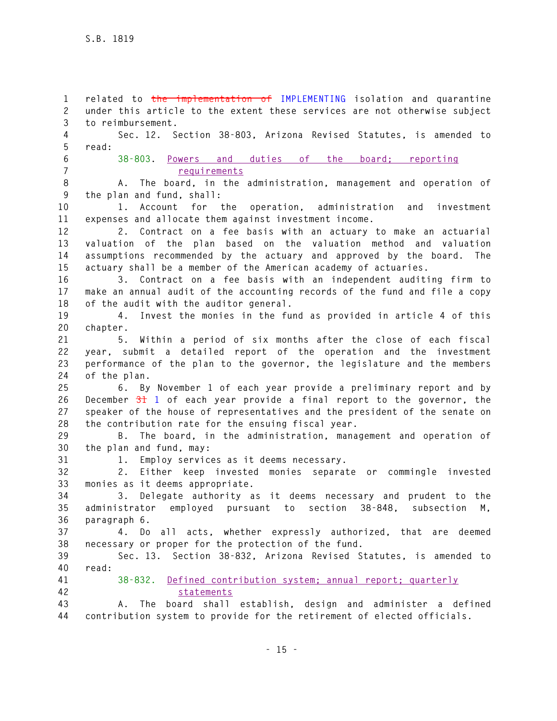**1 related to the implementation of IMPLEMENTING isolation and quarantine 2 under this article to the extent these services are not otherwise subject 3 to reimbursement. 4 Sec. 12. Section 38-803, Arizona Revised Statutes, is amended to 5 read: 6 38-803. Powers and duties of the board; reporting 7 requirements 8 A. The board, in the administration, management and operation of 9 the plan and fund, shall: 10 1. Account for the operation, administration and investment 11 expenses and allocate them against investment income. 12 2. Contract on a fee basis with an actuary to make an actuarial 13 valuation of the plan based on the valuation method and valuation 14 assumptions recommended by the actuary and approved by the board. The 15 actuary shall be a member of the American academy of actuaries. 16 3. Contract on a fee basis with an independent auditing firm to 17 make an annual audit of the accounting records of the fund and file a copy 18 of the audit with the auditor general. 19 4. Invest the monies in the fund as provided in article 4 of this 20 chapter. 21 5. Within a period of six months after the close of each fiscal 22 year, submit a detailed report of the operation and the investment 23 performance of the plan to the governor, the legislature and the members 24 of the plan. 25 6. By November 1 of each year provide a preliminary report and by 26 December 31 1 of each year provide a final report to the governor, the 27 speaker of the house of representatives and the president of the senate on 28 the contribution rate for the ensuing fiscal year. 29 B. The board, in the administration, management and operation of 30 the plan and fund, may: 31 1. Employ services as it deems necessary. 32 2. Either keep invested monies separate or commingle invested 33 monies as it deems appropriate. 34 3. Delegate authority as it deems necessary and prudent to the 35 administrator employed pursuant to section 38-848, subsection M, 36 paragraph 6. 37 4. Do all acts, whether expressly authorized, that are deemed 38 necessary or proper for the protection of the fund. 39 Sec. 13. Section 38-832, Arizona Revised Statutes, is amended to 40 read: 41 38-832. Defined contribution system; annual report; quarterly 42 statements 43 A. The board shall establish, design and administer a defined 44 contribution system to provide for the retirement of elected officials.**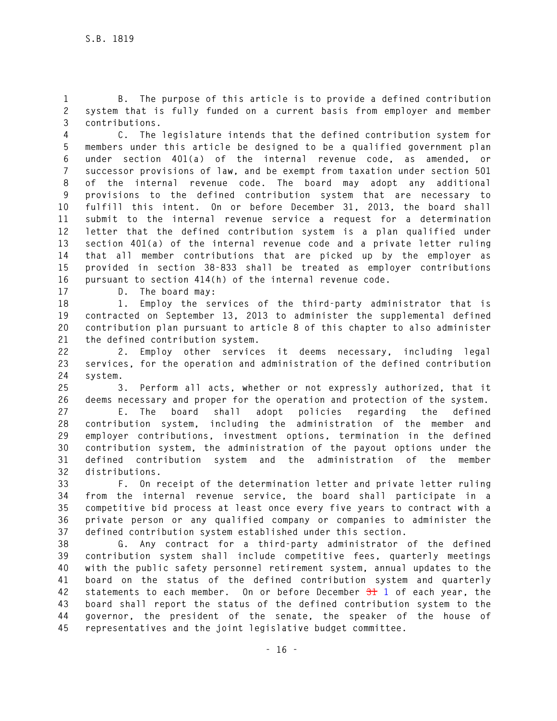**1 B. The purpose of this article is to provide a defined contribution 2 system that is fully funded on a current basis from employer and member 3 contributions.** 

**4 C. The legislature intends that the defined contribution system for 5 members under this article be designed to be a qualified government plan 6 under section 401(a) of the internal revenue code, as amended, or 7 successor provisions of law, and be exempt from taxation under section 501 8 of the internal revenue code. The board may adopt any additional 9 provisions to the defined contribution system that are necessary to 10 fulfill this intent. On or before December 31, 2013, the board shall 11 submit to the internal revenue service a request for a determination 12 letter that the defined contribution system is a plan qualified under 13 section 401(a) of the internal revenue code and a private letter ruling 14 that all member contributions that are picked up by the employer as 15 provided in section 38-833 shall be treated as employer contributions 16 pursuant to section 414(h) of the internal revenue code.** 

**17 D. The board may:** 

**18 1. Employ the services of the third-party administrator that is 19 contracted on September 13, 2013 to administer the supplemental defined 20 contribution plan pursuant to article 8 of this chapter to also administer 21 the defined contribution system.** 

**22 2. Employ other services it deems necessary, including legal 23 services, for the operation and administration of the defined contribution 24 system.** 

**25 3. Perform all acts, whether or not expressly authorized, that it 26 deems necessary and proper for the operation and protection of the system.** 

**27 E. The board shall adopt policies regarding the defined 28 contribution system, including the administration of the member and 29 employer contributions, investment options, termination in the defined 30 contribution system, the administration of the payout options under the 31 defined contribution system and the administration of the member 32 distributions.** 

**33 F. On receipt of the determination letter and private letter ruling 34 from the internal revenue service, the board shall participate in a 35 competitive bid process at least once every five years to contract with a 36 private person or any qualified company or companies to administer the 37 defined contribution system established under this section.** 

**38 G. Any contract for a third-party administrator of the defined 39 contribution system shall include competitive fees, quarterly meetings 40 with the public safety personnel retirement system, annual updates to the 41 board on the status of the defined contribution system and quarterly 42 statements to each member. On or before December 31 1 of each year, the 43 board shall report the status of the defined contribution system to the 44 governor, the president of the senate, the speaker of the house of 45 representatives and the joint legislative budget committee.**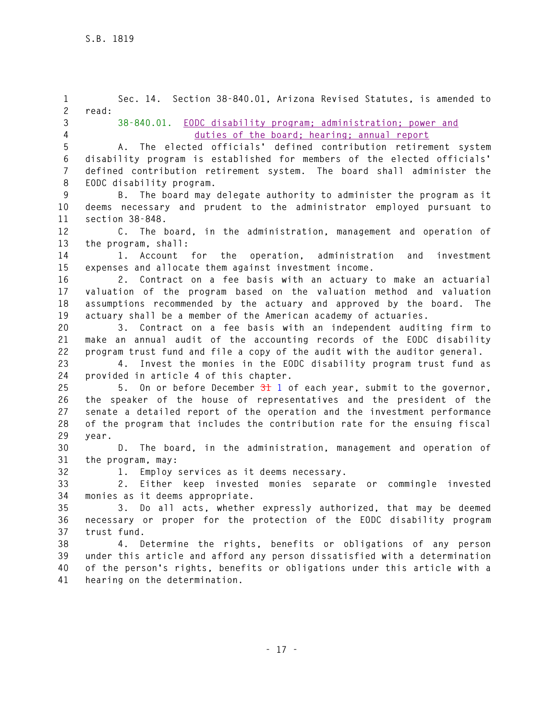**1 Sec. 14. Section 38-840.01, Arizona Revised Statutes, is amended to 2 read: 3 38-840.01. EODC disability program; administration; power and 4 duties of the board; hearing; annual report 5 A. The elected officials' defined contribution retirement system 6 disability program is established for members of the elected officials' 7 defined contribution retirement system. The board shall administer the 8 EODC disability program. 9 B. The board may delegate authority to administer the program as it 10 deems necessary and prudent to the administrator employed pursuant to 11 section 38-848. 12 C. The board, in the administration, management and operation of 13 the program, shall: 14 1. Account for the operation, administration and investment 15 expenses and allocate them against investment income. 16 2. Contract on a fee basis with an actuary to make an actuarial 17 valuation of the program based on the valuation method and valuation 18 assumptions recommended by the actuary and approved by the board. The 19 actuary shall be a member of the American academy of actuaries. 20 3. Contract on a fee basis with an independent auditing firm to 21 make an annual audit of the accounting records of the EODC disability 22 program trust fund and file a copy of the audit with the auditor general. 23 4. Invest the monies in the EODC disability program trust fund as 24 provided in article 4 of this chapter. 25 5. On or before December 31 1 of each year, submit to the governor, 26 the speaker of the house of representatives and the president of the 27 senate a detailed report of the operation and the investment performance 28 of the program that includes the contribution rate for the ensuing fiscal 29 year. 30 D. The board, in the administration, management and operation of 31 the program, may: 32 1. Employ services as it deems necessary. 33 2. Either keep invested monies separate or commingle invested 34 monies as it deems appropriate. 35 3. Do all acts, whether expressly authorized, that may be deemed 36 necessary or proper for the protection of the EODC disability program 37 trust fund. 38 4. Determine the rights, benefits or obligations of any person 39 under this article and afford any person dissatisfied with a determination 40 of the person's rights, benefits or obligations under this article with a 41 hearing on the determination.**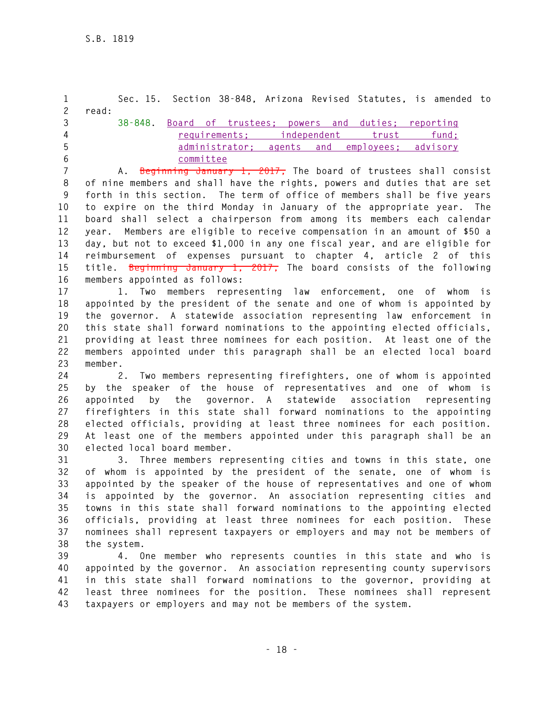**1 Sec. 15. Section 38-848, Arizona Revised Statutes, is amended to 2 read: 3 38-848. Board of trustees; powers and duties; reporting 4 requirements; independent trust fund; 5 administrator; agents and employees; advisory 6 committee 7 A. Beginning January 1, 2017, The board of trustees shall consist 8 of nine members and shall have the rights, powers and duties that are set 9 forth in this section. The term of office of members shall be five years 10 to expire on the third Monday in January of the appropriate year. The 11 board shall select a chairperson from among its members each calendar 12 year. Members are eligible to receive compensation in an amount of \$50 a 13 day, but not to exceed \$1,000 in any one fiscal year, and are eligible for 14 reimbursement of expenses pursuant to chapter 4, article 2 of this 15 title. Beginning January 1, 2017, The board consists of the following** 

**16 members appointed as follows:** 

**17 1. Two members representing law enforcement, one of whom is 18 appointed by the president of the senate and one of whom is appointed by 19 the governor. A statewide association representing law enforcement in 20 this state shall forward nominations to the appointing elected officials, 21 providing at least three nominees for each position. At least one of the 22 members appointed under this paragraph shall be an elected local board 23 member.** 

**24 2. Two members representing firefighters, one of whom is appointed 25 by the speaker of the house of representatives and one of whom is 26 appointed by the governor. A statewide association representing 27 firefighters in this state shall forward nominations to the appointing 28 elected officials, providing at least three nominees for each position. 29 At least one of the members appointed under this paragraph shall be an 30 elected local board member.** 

**31 3. Three members representing cities and towns in this state, one 32 of whom is appointed by the president of the senate, one of whom is 33 appointed by the speaker of the house of representatives and one of whom 34 is appointed by the governor. An association representing cities and 35 towns in this state shall forward nominations to the appointing elected 36 officials, providing at least three nominees for each position. These 37 nominees shall represent taxpayers or employers and may not be members of 38 the system.** 

**39 4. One member who represents counties in this state and who is 40 appointed by the governor. An association representing county supervisors 41 in this state shall forward nominations to the governor, providing at 42 least three nominees for the position. These nominees shall represent 43 taxpayers or employers and may not be members of the system.**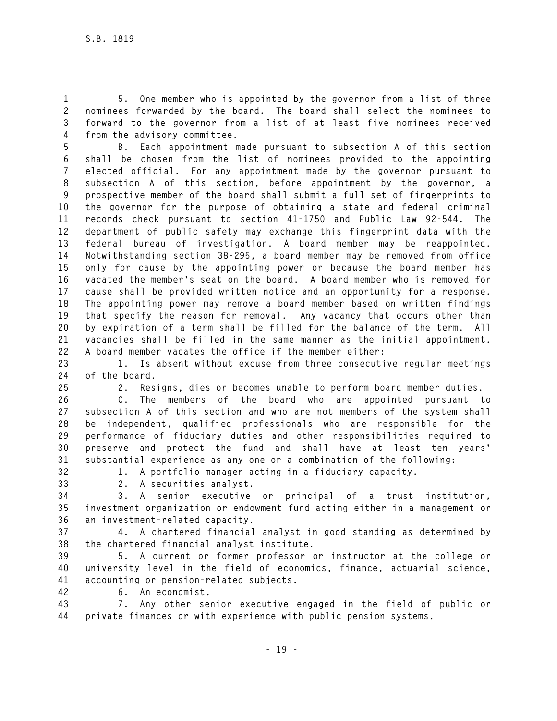**1 5. One member who is appointed by the governor from a list of three 2 nominees forwarded by the board. The board shall select the nominees to 3 forward to the governor from a list of at least five nominees received 4 from the advisory committee.** 

**5 B. Each appointment made pursuant to subsection A of this section 6 shall be chosen from the list of nominees provided to the appointing 7 elected official. For any appointment made by the governor pursuant to 8 subsection A of this section, before appointment by the governor, a 9 prospective member of the board shall submit a full set of fingerprints to 10 the governor for the purpose of obtaining a state and federal criminal 11 records check pursuant to section 41-1750 and Public Law 92-544. The 12 department of public safety may exchange this fingerprint data with the 13 federal bureau of investigation. A board member may be reappointed. 14 Notwithstanding section 38-295, a board member may be removed from office 15 only for cause by the appointing power or because the board member has 16 vacated the member's seat on the board. A board member who is removed for 17 cause shall be provided written notice and an opportunity for a response. 18 The appointing power may remove a board member based on written findings 19 that specify the reason for removal. Any vacancy that occurs other than 20 by expiration of a term shall be filled for the balance of the term. All 21 vacancies shall be filled in the same manner as the initial appointment. 22 A board member vacates the office if the member either:** 

**23 1. Is absent without excuse from three consecutive regular meetings 24 of the board.** 

**25 2. Resigns, dies or becomes unable to perform board member duties.** 

**26 C. The members of the board who are appointed pursuant to 27 subsection A of this section and who are not members of the system shall 28 be independent, qualified professionals who are responsible for the 29 performance of fiduciary duties and other responsibilities required to 30 preserve and protect the fund and shall have at least ten years' 31 substantial experience as any one or a combination of the following:** 

**32 1. A portfolio manager acting in a fiduciary capacity.** 

**33 2. A securities analyst.** 

**34 3. A senior executive or principal of a trust institution, 35 investment organization or endowment fund acting either in a management or 36 an investment-related capacity.** 

**37 4. A chartered financial analyst in good standing as determined by 38 the chartered financial analyst institute.** 

**39 5. A current or former professor or instructor at the college or 40 university level in the field of economics, finance, actuarial science, 41 accounting or pension-related subjects.** 

**42 6. An economist.** 

**43 7. Any other senior executive engaged in the field of public or 44 private finances or with experience with public pension systems.**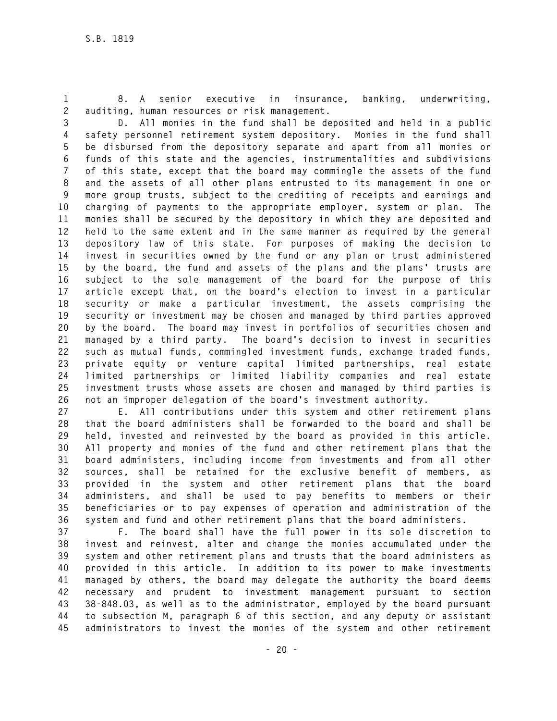**1 8. A senior executive in insurance, banking, underwriting, 2 auditing, human resources or risk management.** 

**3 D. All monies in the fund shall be deposited and held in a public 4 safety personnel retirement system depository. Monies in the fund shall 5 be disbursed from the depository separate and apart from all monies or 6 funds of this state and the agencies, instrumentalities and subdivisions 7 of this state, except that the board may commingle the assets of the fund 8 and the assets of all other plans entrusted to its management in one or 9 more group trusts, subject to the crediting of receipts and earnings and 10 charging of payments to the appropriate employer, system or plan. The 11 monies shall be secured by the depository in which they are deposited and 12 held to the same extent and in the same manner as required by the general 13 depository law of this state. For purposes of making the decision to 14 invest in securities owned by the fund or any plan or trust administered 15 by the board, the fund and assets of the plans and the plans' trusts are 16 subject to the sole management of the board for the purpose of this 17 article except that, on the board's election to invest in a particular 18 security or make a particular investment, the assets comprising the 19 security or investment may be chosen and managed by third parties approved 20 by the board. The board may invest in portfolios of securities chosen and 21 managed by a third party. The board's decision to invest in securities 22 such as mutual funds, commingled investment funds, exchange traded funds, 23 private equity or venture capital limited partnerships, real estate 24 limited partnerships or limited liability companies and real estate 25 investment trusts whose assets are chosen and managed by third parties is 26 not an improper delegation of the board's investment authority.** 

**27 E. All contributions under this system and other retirement plans 28 that the board administers shall be forwarded to the board and shall be 29 held, invested and reinvested by the board as provided in this article. 30 All property and monies of the fund and other retirement plans that the 31 board administers, including income from investments and from all other 32 sources, shall be retained for the exclusive benefit of members, as 33 provided in the system and other retirement plans that the board 34 administers, and shall be used to pay benefits to members or their 35 beneficiaries or to pay expenses of operation and administration of the 36 system and fund and other retirement plans that the board administers.** 

**37 F. The board shall have the full power in its sole discretion to 38 invest and reinvest, alter and change the monies accumulated under the 39 system and other retirement plans and trusts that the board administers as 40 provided in this article. In addition to its power to make investments 41 managed by others, the board may delegate the authority the board deems 42 necessary and prudent to investment management pursuant to section 43 38-848.03, as well as to the administrator, employed by the board pursuant 44 to subsection M, paragraph 6 of this section, and any deputy or assistant 45 administrators to invest the monies of the system and other retirement**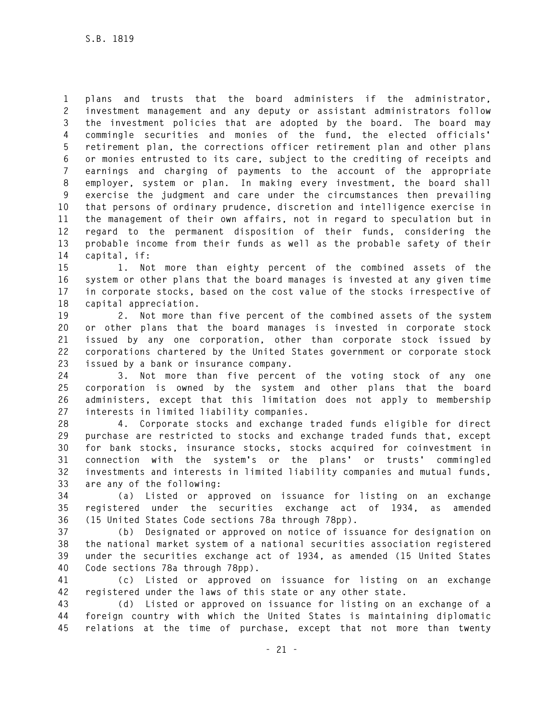**1 plans and trusts that the board administers if the administrator, 2 investment management and any deputy or assistant administrators follow 3 the investment policies that are adopted by the board. The board may 4 commingle securities and monies of the fund, the elected officials' 5 retirement plan, the corrections officer retirement plan and other plans 6 or monies entrusted to its care, subject to the crediting of receipts and 7 earnings and charging of payments to the account of the appropriate 8 employer, system or plan. In making every investment, the board shall 9 exercise the judgment and care under the circumstances then prevailing 10 that persons of ordinary prudence, discretion and intelligence exercise in 11 the management of their own affairs, not in regard to speculation but in 12 regard to the permanent disposition of their funds, considering the 13 probable income from their funds as well as the probable safety of their 14 capital, if:** 

**15 1. Not more than eighty percent of the combined assets of the 16 system or other plans that the board manages is invested at any given time 17 in corporate stocks, based on the cost value of the stocks irrespective of 18 capital appreciation.** 

**19 2. Not more than five percent of the combined assets of the system 20 or other plans that the board manages is invested in corporate stock 21 issued by any one corporation, other than corporate stock issued by 22 corporations chartered by the United States government or corporate stock 23 issued by a bank or insurance company.** 

**24 3. Not more than five percent of the voting stock of any one 25 corporation is owned by the system and other plans that the board 26 administers, except that this limitation does not apply to membership 27 interests in limited liability companies.** 

**28 4. Corporate stocks and exchange traded funds eligible for direct 29 purchase are restricted to stocks and exchange traded funds that, except 30 for bank stocks, insurance stocks, stocks acquired for coinvestment in 31 connection with the system's or the plans' or trusts' commingled 32 investments and interests in limited liability companies and mutual funds, 33 are any of the following:** 

**34 (a) Listed or approved on issuance for listing on an exchange 35 registered under the securities exchange act of 1934, as amended 36 (15 United States Code sections 78a through 78pp).** 

**37 (b) Designated or approved on notice of issuance for designation on 38 the national market system of a national securities association registered 39 under the securities exchange act of 1934, as amended (15 United States 40 Code sections 78a through 78pp).** 

**41 (c) Listed or approved on issuance for listing on an exchange 42 registered under the laws of this state or any other state.** 

**43 (d) Listed or approved on issuance for listing on an exchange of a 44 foreign country with which the United States is maintaining diplomatic 45 relations at the time of purchase, except that not more than twenty**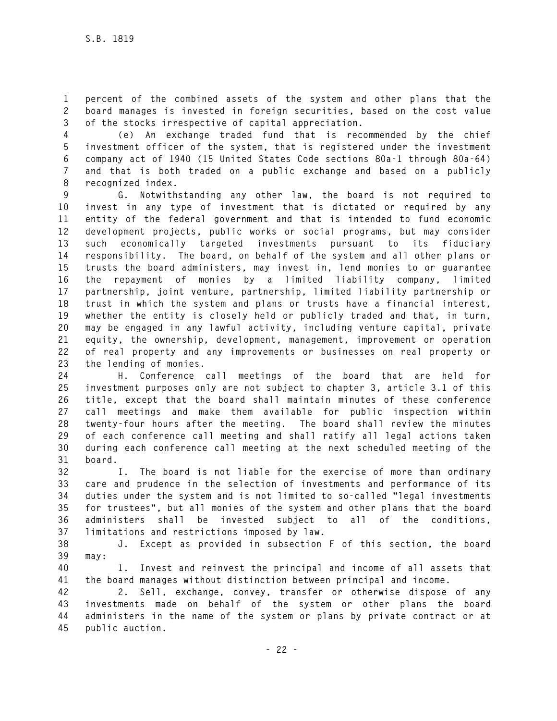**1 percent of the combined assets of the system and other plans that the 2 board manages is invested in foreign securities, based on the cost value 3 of the stocks irrespective of capital appreciation.** 

**4 (e) An exchange traded fund that is recommended by the chief 5 investment officer of the system, that is registered under the investment 6 company act of 1940 (15 United States Code sections 80a-1 through 80a-64) 7 and that is both traded on a public exchange and based on a publicly 8 recognized index.** 

**9 G. Notwithstanding any other law, the board is not required to 10 invest in any type of investment that is dictated or required by any 11 entity of the federal government and that is intended to fund economic 12 development projects, public works or social programs, but may consider 13 such economically targeted investments pursuant to its fiduciary 14 responsibility. The board, on behalf of the system and all other plans or 15 trusts the board administers, may invest in, lend monies to or guarantee 16 the repayment of monies by a limited liability company, limited 17 partnership, joint venture, partnership, limited liability partnership or 18 trust in which the system and plans or trusts have a financial interest, 19 whether the entity is closely held or publicly traded and that, in turn, 20 may be engaged in any lawful activity, including venture capital, private 21 equity, the ownership, development, management, improvement or operation 22 of real property and any improvements or businesses on real property or 23 the lending of monies.** 

**24 H. Conference call meetings of the board that are held for 25 investment purposes only are not subject to chapter 3, article 3.1 of this 26 title, except that the board shall maintain minutes of these conference 27 call meetings and make them available for public inspection within 28 twenty-four hours after the meeting. The board shall review the minutes 29 of each conference call meeting and shall ratify all legal actions taken 30 during each conference call meeting at the next scheduled meeting of the 31 board.** 

**32 I. The board is not liable for the exercise of more than ordinary 33 care and prudence in the selection of investments and performance of its 34 duties under the system and is not limited to so-called "legal investments 35 for trustees", but all monies of the system and other plans that the board 36 administers shall be invested subject to all of the conditions, 37 limitations and restrictions imposed by law.** 

**38 J. Except as provided in subsection F of this section, the board 39 may:** 

**40 1. Invest and reinvest the principal and income of all assets that 41 the board manages without distinction between principal and income.** 

**42 2. Sell, exchange, convey, transfer or otherwise dispose of any 43 investments made on behalf of the system or other plans the board 44 administers in the name of the system or plans by private contract or at 45 public auction.**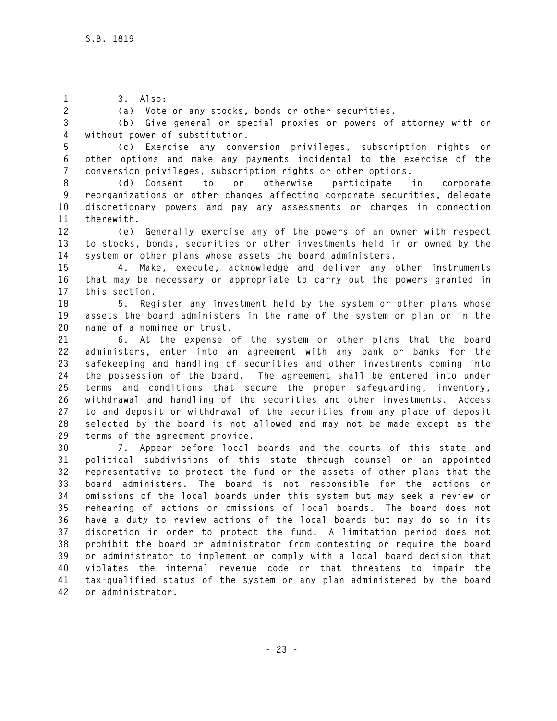**1 3. Also:** 

**2 (a) Vote on any stocks, bonds or other securities.** 

**3 (b) Give general or special proxies or powers of attorney with or 4 without power of substitution.** 

**5 (c) Exercise any conversion privileges, subscription rights or 6 other options and make any payments incidental to the exercise of the 7 conversion privileges, subscription rights or other options.** 

**8 (d) Consent to or otherwise participate in corporate 9 reorganizations or other changes affecting corporate securities, delegate 10 discretionary powers and pay any assessments or charges in connection 11 therewith.** 

**12 (e) Generally exercise any of the powers of an owner with respect 13 to stocks, bonds, securities or other investments held in or owned by the 14 system or other plans whose assets the board administers.** 

**15 4. Make, execute, acknowledge and deliver any other instruments 16 that may be necessary or appropriate to carry out the powers granted in 17 this section.** 

**18 5. Register any investment held by the system or other plans whose 19 assets the board administers in the name of the system or plan or in the 20 name of a nominee or trust.** 

**21 6. At the expense of the system or other plans that the board 22 administers, enter into an agreement with any bank or banks for the 23 safekeeping and handling of securities and other investments coming into 24 the possession of the board. The agreement shall be entered into under 25 terms and conditions that secure the proper safeguarding, inventory, 26 withdrawal and handling of the securities and other investments. Access 27 to and deposit or withdrawal of the securities from any place of deposit 28 selected by the board is not allowed and may not be made except as the 29 terms of the agreement provide.** 

**30 7. Appear before local boards and the courts of this state and 31 political subdivisions of this state through counsel or an appointed 32 representative to protect the fund or the assets of other plans that the 33 board administers. The board is not responsible for the actions or 34 omissions of the local boards under this system but may seek a review or 35 rehearing of actions or omissions of local boards. The board does not 36 have a duty to review actions of the local boards but may do so in its 37 discretion in order to protect the fund. A limitation period does not 38 prohibit the board or administrator from contesting or require the board 39 or administrator to implement or comply with a local board decision that 40 violates the internal revenue code or that threatens to impair the 41 tax-qualified status of the system or any plan administered by the board 42 or administrator.**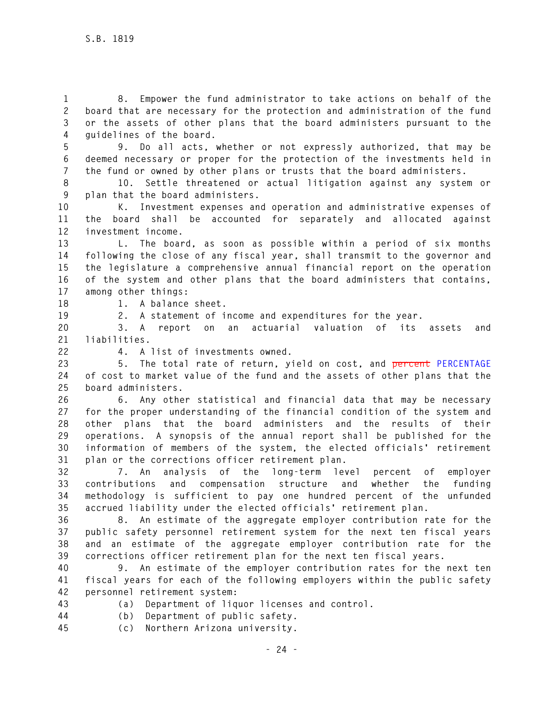**1 8. Empower the fund administrator to take actions on behalf of the 2 board that are necessary for the protection and administration of the fund 3 or the assets of other plans that the board administers pursuant to the 4 guidelines of the board.** 

**5 9. Do all acts, whether or not expressly authorized, that may be 6 deemed necessary or proper for the protection of the investments held in 7 the fund or owned by other plans or trusts that the board administers.** 

**8 10. Settle threatened or actual litigation against any system or 9 plan that the board administers.** 

**10 K. Investment expenses and operation and administrative expenses of 11 the board shall be accounted for separately and allocated against 12 investment income.** 

**13 L. The board, as soon as possible within a period of six months 14 following the close of any fiscal year, shall transmit to the governor and 15 the legislature a comprehensive annual financial report on the operation 16 of the system and other plans that the board administers that contains, 17 among other things:** 

**18 1. A balance sheet.** 

**19 2. A statement of income and expenditures for the year.** 

**20 3. A report on an actuarial valuation of its assets and 21 liabilities.** 

**22 4. A list of investments owned.** 

**23 5. The total rate of return, yield on cost, and percent PERCENTAGE 24 of cost to market value of the fund and the assets of other plans that the 25 board administers.** 

**26 6. Any other statistical and financial data that may be necessary 27 for the proper understanding of the financial condition of the system and 28 other plans that the board administers and the results of their 29 operations. A synopsis of the annual report shall be published for the 30 information of members of the system, the elected officials' retirement 31 plan or the corrections officer retirement plan.** 

**32 7. An analysis of the long-term level percent of employer 33 contributions and compensation structure and whether the funding 34 methodology is sufficient to pay one hundred percent of the unfunded 35 accrued liability under the elected officials' retirement plan.** 

**36 8. An estimate of the aggregate employer contribution rate for the 37 public safety personnel retirement system for the next ten fiscal years 38 and an estimate of the aggregate employer contribution rate for the 39 corrections officer retirement plan for the next ten fiscal years.** 

**40 9. An estimate of the employer contribution rates for the next ten 41 fiscal years for each of the following employers within the public safety 42 personnel retirement system:** 

- 
- **43 (a) Department of liquor licenses and control.**
- **44 (b) Department of public safety.**
- **45 (c) Northern Arizona university.**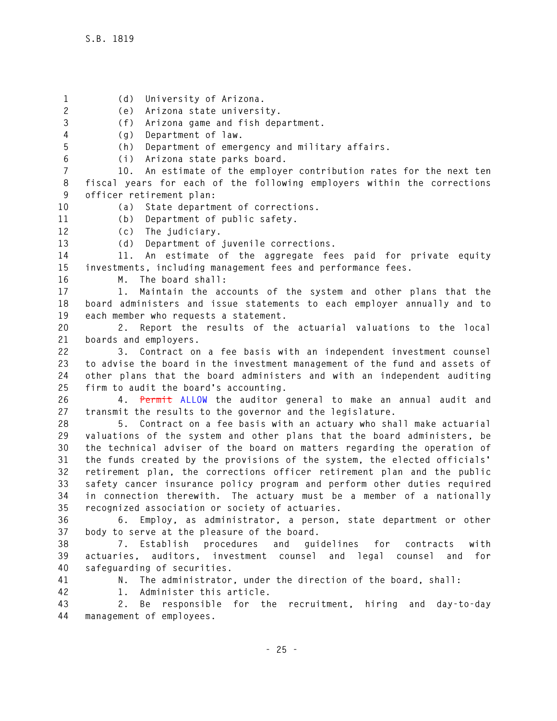**1 (d) University of Arizona. 2 (e) Arizona state university. 3 (f) Arizona game and fish department. 4 (g) Department of law. 5 (h) Department of emergency and military affairs. 6 (i) Arizona state parks board. 7 10. An estimate of the employer contribution rates for the next ten 8 fiscal years for each of the following employers within the corrections 9 officer retirement plan: 10 (a) State department of corrections. 11 (b) Department of public safety. 12 (c) The judiciary. 13 (d) Department of juvenile corrections. 14 11. An estimate of the aggregate fees paid for private equity 15 investments, including management fees and performance fees. 16 M. The board shall: 17 1. Maintain the accounts of the system and other plans that the 18 board administers and issue statements to each employer annually and to 19 each member who requests a statement. 20 2. Report the results of the actuarial valuations to the local 21 boards and employers. 22 3. Contract on a fee basis with an independent investment counsel 23 to advise the board in the investment management of the fund and assets of 24 other plans that the board administers and with an independent auditing 25 firm to audit the board's accounting. 26 4. Permit ALLOW the auditor general to make an annual audit and 27 transmit the results to the governor and the legislature. 28 5. Contract on a fee basis with an actuary who shall make actuarial 29 valuations of the system and other plans that the board administers, be 30 the technical adviser of the board on matters regarding the operation of 31 the funds created by the provisions of the system, the elected officials' 32 retirement plan, the corrections officer retirement plan and the public 33 safety cancer insurance policy program and perform other duties required 34 in connection therewith. The actuary must be a member of a nationally 35 recognized association or society of actuaries. 36 6. Employ, as administrator, a person, state department or other 37 body to serve at the pleasure of the board. 38 7. Establish procedures and guidelines for contracts with 39 actuaries, auditors, investment counsel and legal counsel and for 40 safeguarding of securities. 41 N. The administrator, under the direction of the board, shall: 42 1. Administer this article. 43 2. Be responsible for the recruitment, hiring and day-to-day 44 management of employees.**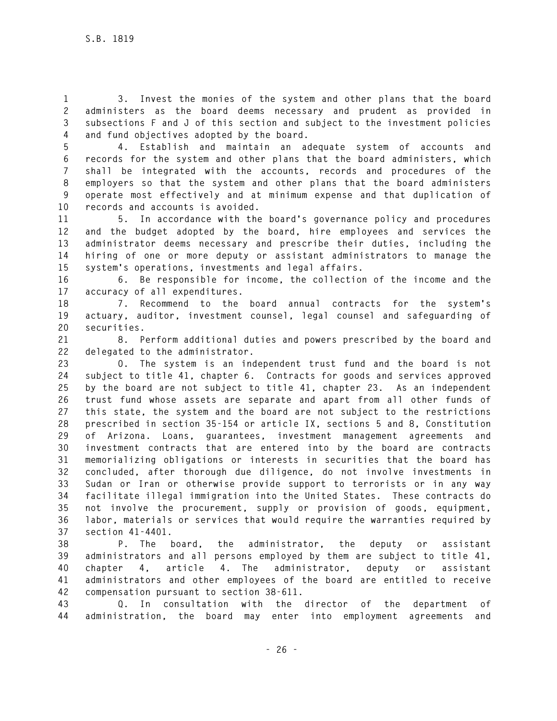**1 3. Invest the monies of the system and other plans that the board 2 administers as the board deems necessary and prudent as provided in 3 subsections F and J of this section and subject to the investment policies 4 and fund objectives adopted by the board.** 

**5 4. Establish and maintain an adequate system of accounts and 6 records for the system and other plans that the board administers, which 7 shall be integrated with the accounts, records and procedures of the 8 employers so that the system and other plans that the board administers 9 operate most effectively and at minimum expense and that duplication of 10 records and accounts is avoided.** 

**11 5. In accordance with the board's governance policy and procedures 12 and the budget adopted by the board, hire employees and services the 13 administrator deems necessary and prescribe their duties, including the 14 hiring of one or more deputy or assistant administrators to manage the 15 system's operations, investments and legal affairs.** 

**16 6. Be responsible for income, the collection of the income and the 17 accuracy of all expenditures.** 

**18 7. Recommend to the board annual contracts for the system's 19 actuary, auditor, investment counsel, legal counsel and safeguarding of 20 securities.** 

**21 8. Perform additional duties and powers prescribed by the board and 22 delegated to the administrator.** 

**23 O. The system is an independent trust fund and the board is not 24 subject to title 41, chapter 6. Contracts for goods and services approved 25 by the board are not subject to title 41, chapter 23. As an independent 26 trust fund whose assets are separate and apart from all other funds of 27 this state, the system and the board are not subject to the restrictions 28 prescribed in section 35-154 or article IX, sections 5 and 8, Constitution 29 of Arizona. Loans, guarantees, investment management agreements and 30 investment contracts that are entered into by the board are contracts 31 memorializing obligations or interests in securities that the board has 32 concluded, after thorough due diligence, do not involve investments in 33 Sudan or Iran or otherwise provide support to terrorists or in any way 34 facilitate illegal immigration into the United States. These contracts do 35 not involve the procurement, supply or provision of goods, equipment, 36 labor, materials or services that would require the warranties required by 37 section 41-4401.** 

**38 P. The board, the administrator, the deputy or assistant 39 administrators and all persons employed by them are subject to title 41, 40 chapter 4, article 4. The administrator, deputy or assistant 41 administrators and other employees of the board are entitled to receive 42 compensation pursuant to section 38-611.** 

**43 Q. In consultation with the director of the department of 44 administration, the board may enter into employment agreements and**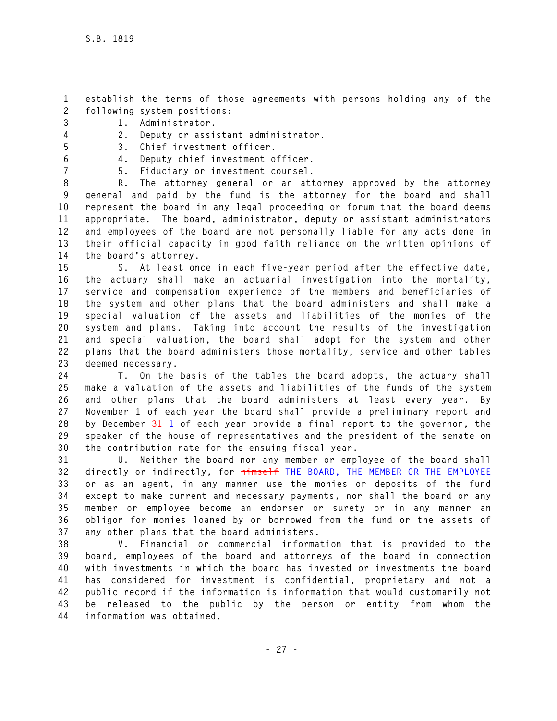- **1 establish the terms of those agreements with persons holding any of the 2 following system positions:**
- **3 1. Administrator.**
- **4 2. Deputy or assistant administrator.**
- **5 3. Chief investment officer.**
- **6 4. Deputy chief investment officer.**
- 
- **7 5. Fiduciary or investment counsel.**

**8 R. The attorney general or an attorney approved by the attorney 9 general and paid by the fund is the attorney for the board and shall 10 represent the board in any legal proceeding or forum that the board deems 11 appropriate. The board, administrator, deputy or assistant administrators 12 and employees of the board are not personally liable for any acts done in 13 their official capacity in good faith reliance on the written opinions of 14 the board's attorney.** 

**15 S. At least once in each five-year period after the effective date, 16 the actuary shall make an actuarial investigation into the mortality, 17 service and compensation experience of the members and beneficiaries of 18 the system and other plans that the board administers and shall make a 19 special valuation of the assets and liabilities of the monies of the 20 system and plans. Taking into account the results of the investigation 21 and special valuation, the board shall adopt for the system and other 22 plans that the board administers those mortality, service and other tables 23 deemed necessary.** 

**24 T. On the basis of the tables the board adopts, the actuary shall 25 make a valuation of the assets and liabilities of the funds of the system 26 and other plans that the board administers at least every year. By 27 November 1 of each year the board shall provide a preliminary report and 28 by December 31 1 of each year provide a final report to the governor, the 29 speaker of the house of representatives and the president of the senate on 30 the contribution rate for the ensuing fiscal year.** 

**31 U. Neither the board nor any member or employee of the board shall 32 directly or indirectly, for himself THE BOARD, THE MEMBER OR THE EMPLOYEE 33 or as an agent, in any manner use the monies or deposits of the fund 34 except to make current and necessary payments, nor shall the board or any 35 member or employee become an endorser or surety or in any manner an 36 obligor for monies loaned by or borrowed from the fund or the assets of 37 any other plans that the board administers.** 

**38 V. Financial or commercial information that is provided to the 39 board, employees of the board and attorneys of the board in connection 40 with investments in which the board has invested or investments the board 41 has considered for investment is confidential, proprietary and not a 42 public record if the information is information that would customarily not 43 be released to the public by the person or entity from whom the 44 information was obtained.**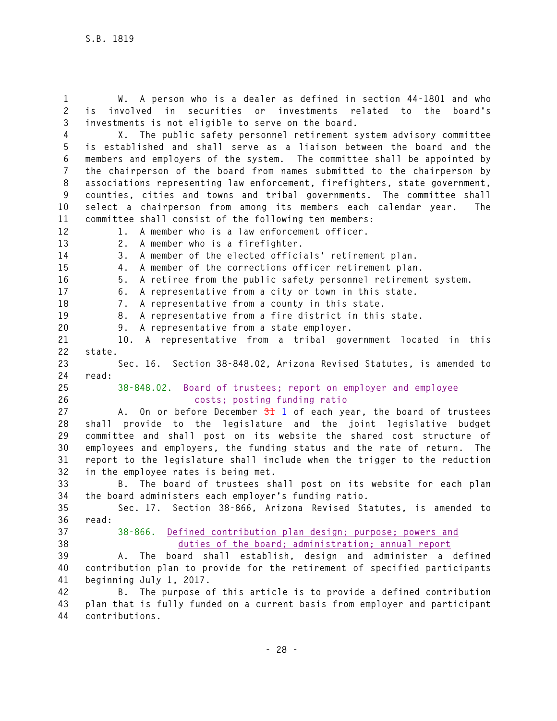**1 W. A person who is a dealer as defined in section 44-1801 and who 2 is involved in securities or investments related to the board's 3 investments is not eligible to serve on the board.** 

**4 X. The public safety personnel retirement system advisory committee 5 is established and shall serve as a liaison between the board and the 6 members and employers of the system. The committee shall be appointed by 7 the chairperson of the board from names submitted to the chairperson by 8 associations representing law enforcement, firefighters, state government, 9 counties, cities and towns and tribal governments. The committee shall 10 select a chairperson from among its members each calendar year. The 11 committee shall consist of the following ten members:** 

**12 1. A member who is a law enforcement officer.** 

**13 2. A member who is a firefighter. 14 3. A member of the elected officials' retirement plan. 15 4. A member of the corrections officer retirement plan. 16 5. A retiree from the public safety personnel retirement system. 17 6. A representative from a city or town in this state. 18 7. A representative from a county in this state. 19 8. A representative from a fire district in this state. 20 9. A representative from a state employer. 21 10. A representative from a tribal government located in this 22 state. 23 Sec. 16. Section 38-848.02, Arizona Revised Statutes, is amended to 24 read: 25 38-848.02. Board of trustees; report on employer and employee 26 costs; posting funding ratio 27 A. On or before December 31 1 of each year, the board of trustees 28 shall provide to the legislature and the joint legislative budget 29 committee and shall post on its website the shared cost structure of 30 employees and employers, the funding status and the rate of return. The 31 report to the legislature shall include when the trigger to the reduction 32 in the employee rates is being met. 33 B. The board of trustees shall post on its website for each plan 34 the board administers each employer's funding ratio. 35 Sec. 17. Section 38-866, Arizona Revised Statutes, is amended to 36 read: 37 38-866. Defined contribution plan design; purpose; powers and 38 duties of the board; administration; annual report 39 A. The board shall establish, design and administer a defined 40 contribution plan to provide for the retirement of specified participants 41 beginning July 1, 2017. 42 B. The purpose of this article is to provide a defined contribution 43 plan that is fully funded on a current basis from employer and participant** 

**44 contributions.**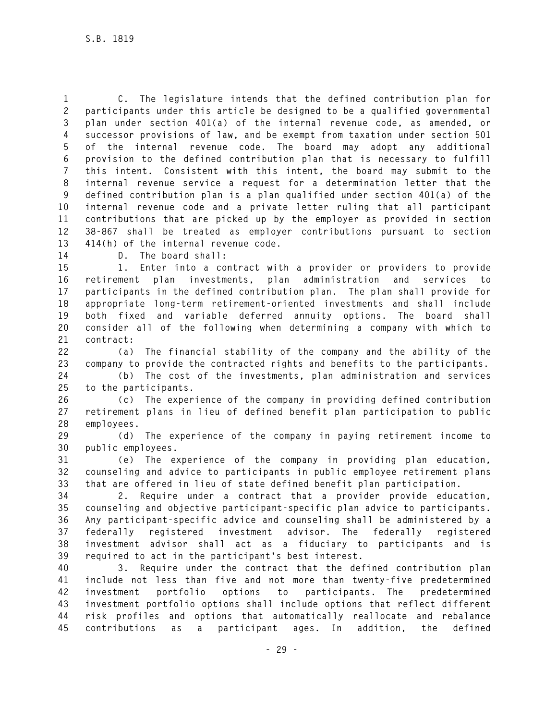**1 C. The legislature intends that the defined contribution plan for 2 participants under this article be designed to be a qualified governmental 3 plan under section 401(a) of the internal revenue code, as amended, or 4 successor provisions of law, and be exempt from taxation under section 501 5 of the internal revenue code. The board may adopt any additional 6 provision to the defined contribution plan that is necessary to fulfill 7 this intent. Consistent with this intent, the board may submit to the 8 internal revenue service a request for a determination letter that the 9 defined contribution plan is a plan qualified under section 401(a) of the 10 internal revenue code and a private letter ruling that all participant 11 contributions that are picked up by the employer as provided in section 12 38-867 shall be treated as employer contributions pursuant to section 13 414(h) of the internal revenue code.** 

**14 D. The board shall:** 

**15 1. Enter into a contract with a provider or providers to provide 16 retirement plan investments, plan administration and services to 17 participants in the defined contribution plan. The plan shall provide for 18 appropriate long-term retirement-oriented investments and shall include 19 both fixed and variable deferred annuity options. The board shall 20 consider all of the following when determining a company with which to 21 contract:** 

**22 (a) The financial stability of the company and the ability of the 23 company to provide the contracted rights and benefits to the participants.** 

**24 (b) The cost of the investments, plan administration and services 25 to the participants.** 

**26 (c) The experience of the company in providing defined contribution 27 retirement plans in lieu of defined benefit plan participation to public 28 employees.** 

**29 (d) The experience of the company in paying retirement income to 30 public employees.** 

**31 (e) The experience of the company in providing plan education, 32 counseling and advice to participants in public employee retirement plans 33 that are offered in lieu of state defined benefit plan participation.** 

**34 2. Require under a contract that a provider provide education, 35 counseling and objective participant-specific plan advice to participants. 36 Any participant-specific advice and counseling shall be administered by a 37 federally registered investment advisor. The federally registered 38 investment advisor shall act as a fiduciary to participants and is 39 required to act in the participant's best interest.** 

**40 3. Require under the contract that the defined contribution plan 41 include not less than five and not more than twenty-five predetermined 42 investment portfolio options to participants. The predetermined 43 investment portfolio options shall include options that reflect different 44 risk profiles and options that automatically reallocate and rebalance 45 contributions as a participant ages. In addition, the defined**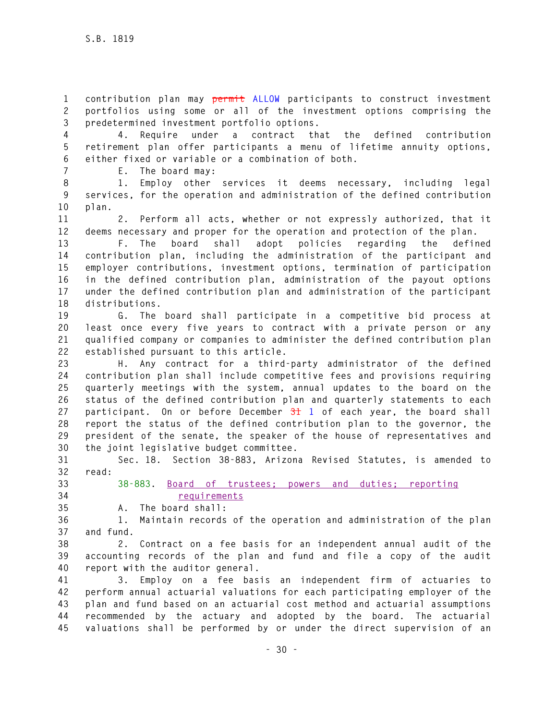**1 contribution plan may permit ALLOW participants to construct investment 2 portfolios using some or all of the investment options comprising the 3 predetermined investment portfolio options.** 

**4 4. Require under a contract that the defined contribution 5 retirement plan offer participants a menu of lifetime annuity options, 6 either fixed or variable or a combination of both.** 

**7 E. The board may:** 

**8 1. Employ other services it deems necessary, including legal 9 services, for the operation and administration of the defined contribution 10 plan.** 

**11 2. Perform all acts, whether or not expressly authorized, that it 12 deems necessary and proper for the operation and protection of the plan.** 

**13 F. The board shall adopt policies regarding the defined 14 contribution plan, including the administration of the participant and 15 employer contributions, investment options, termination of participation 16 in the defined contribution plan, administration of the payout options 17 under the defined contribution plan and administration of the participant 18 distributions.** 

**19 G. The board shall participate in a competitive bid process at 20 least once every five years to contract with a private person or any 21 qualified company or companies to administer the defined contribution plan 22 established pursuant to this article.** 

**23 H. Any contract for a third-party administrator of the defined 24 contribution plan shall include competitive fees and provisions requiring 25 quarterly meetings with the system, annual updates to the board on the 26 status of the defined contribution plan and quarterly statements to each 27 participant. On or before December 31 1 of each year, the board shall 28 report the status of the defined contribution plan to the governor, the 29 president of the senate, the speaker of the house of representatives and 30 the joint legislative budget committee.** 

**31 Sec. 18. Section 38-883, Arizona Revised Statutes, is amended to 32 read:** 

**33 38-883. Board of trustees; powers and duties; reporting 34 requirements**

**35 A. The board shall:** 

**36 1. Maintain records of the operation and administration of the plan 37 and fund.** 

**38 2. Contract on a fee basis for an independent annual audit of the 39 accounting records of the plan and fund and file a copy of the audit 40 report with the auditor general.** 

**41 3. Employ on a fee basis an independent firm of actuaries to 42 perform annual actuarial valuations for each participating employer of the 43 plan and fund based on an actuarial cost method and actuarial assumptions 44 recommended by the actuary and adopted by the board. The actuarial 45 valuations shall be performed by or under the direct supervision of an**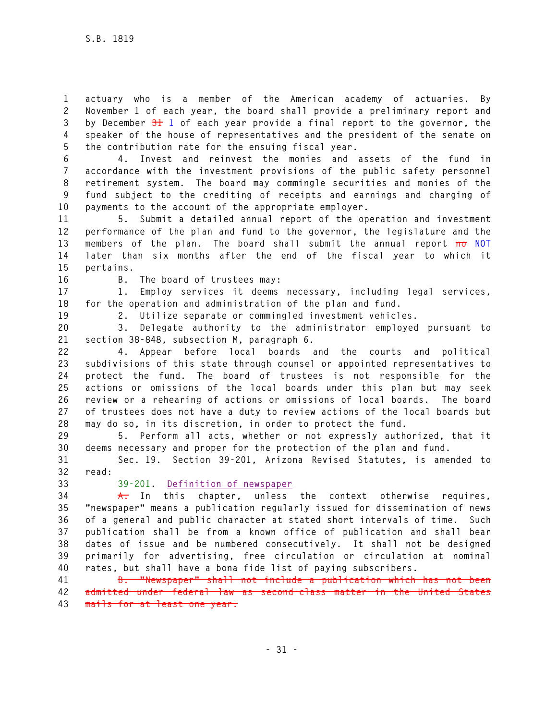**1 actuary who is a member of the American academy of actuaries. By 2 November 1 of each year, the board shall provide a preliminary report and 3 by December 31 1 of each year provide a final report to the governor, the 4 speaker of the house of representatives and the president of the senate on 5 the contribution rate for the ensuing fiscal year.** 

**6 4. Invest and reinvest the monies and assets of the fund in 7 accordance with the investment provisions of the public safety personnel 8 retirement system. The board may commingle securities and monies of the 9 fund subject to the crediting of receipts and earnings and charging of 10 payments to the account of the appropriate employer.** 

**11 5. Submit a detailed annual report of the operation and investment 12 performance of the plan and fund to the governor, the legislature and the 13 members of the plan. The board shall submit the annual report no NOT 14 later than six months after the end of the fiscal year to which it 15 pertains.** 

**16 B. The board of trustees may:** 

**17 1. Employ services it deems necessary, including legal services, 18 for the operation and administration of the plan and fund.** 

**19 2. Utilize separate or commingled investment vehicles.** 

**20 3. Delegate authority to the administrator employed pursuant to 21 section 38-848, subsection M, paragraph 6.** 

**22 4. Appear before local boards and the courts and political 23 subdivisions of this state through counsel or appointed representatives to 24 protect the fund. The board of trustees is not responsible for the 25 actions or omissions of the local boards under this plan but may seek 26 review or a rehearing of actions or omissions of local boards. The board 27 of trustees does not have a duty to review actions of the local boards but 28 may do so, in its discretion, in order to protect the fund.** 

**29 5. Perform all acts, whether or not expressly authorized, that it 30 deems necessary and proper for the protection of the plan and fund.** 

**31 Sec. 19. Section 39-201, Arizona Revised Statutes, is amended to 32 read:** 

#### **33 39-201. Definition of newspaper**

**34 A. In this chapter, unless the context otherwise requires, 35 "newspaper" means a publication regularly issued for dissemination of news 36 of a general and public character at stated short intervals of time. Such 37 publication shall be from a known office of publication and shall bear 38 dates of issue and be numbered consecutively. It shall not be designed 39 primarily for advertising, free circulation or circulation at nominal 40 rates, but shall have a bona fide list of paying subscribers.** 

**41 B. "Newspaper" shall not include a publication which has not been 42 admitted under federal law as second-class matter in the United States 43 mails for at least one year.**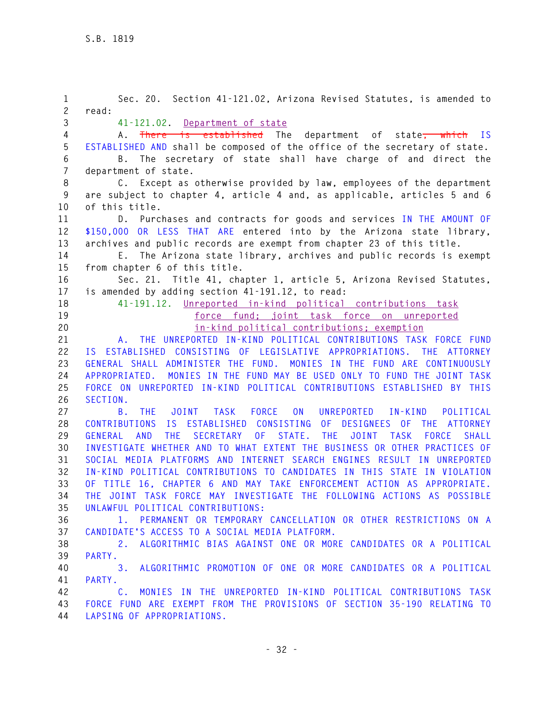| 1              | Sec. 20. Section 41-121.02, Arizona Revised Statutes, is amended to                                   |
|----------------|-------------------------------------------------------------------------------------------------------|
| $\overline{c}$ | read:                                                                                                 |
| 3              | 41-121.02. Department of state                                                                        |
| 4              | A. There is established The department of state <del>, which</del> IS                                 |
| 5              | ESTABLISHED AND shall be composed of the office of the secretary of state.                            |
| 6              | The secretary of state shall have charge of and direct the<br>B.                                      |
| $\overline{7}$ | department of state.                                                                                  |
| 8              | C. Except as otherwise provided by law, employees of the department                                   |
| 9              | are subject to chapter 4, article 4 and, as applicable, articles 5 and 6                              |
| 10             | of this title.                                                                                        |
| 11             | D. Purchases and contracts for goods and services IN THE AMOUNT OF                                    |
| 12             | \$150,000 OR LESS THAT ARE entered into by the Arizona state library,                                 |
| 13             | archives and public records are exempt from chapter 23 of this title.                                 |
| 14             | E. The Arizona state library, archives and public records is exempt                                   |
| 15             | from chapter 6 of this title.                                                                         |
| 16             | Sec. 21. Title 41, chapter 1, article 5, Arizona Revised Statutes,                                    |
| 17             | is amended by adding section 41-191.12, to read:                                                      |
| 18             | 41-191.12. Unreported in-kind political contributions task                                            |
| 19             | force fund: joint task force on unreported                                                            |
| 20             | in-kind political contributions; exemption                                                            |
| 21             | THE UNREPORTED IN-KIND POLITICAL CONTRIBUTIONS TASK FORCE FUND<br>A.                                  |
| 22             | IS ESTABLISHED CONSISTING OF LEGISLATIVE APPROPRIATIONS.<br>THE ATTORNEY                              |
| 23             | GENERAL SHALL ADMINISTER THE FUND. MONIES IN THE FUND ARE CONTINUOUSLY                                |
| 24             | MONIES IN THE FUND MAY BE USED ONLY TO FUND THE JOINT TASK<br>APPROPRIATED.                           |
| 25             | FORCE ON UNREPORTED IN-KIND POLITICAL CONTRIBUTIONS ESTABLISHED BY THIS                               |
| 26             | SECTION.                                                                                              |
| 27             | <b>FORCE</b><br><b>JOINT</b><br>TASK<br><b>ON</b><br>UNREPORTED<br>B.<br>THE.<br>IN-KIND<br>POLITICAL |
| 28             | IS ESTABLISHED CONSISTING OF DESIGNEES OF THE ATTORNEY<br><b>CONTRIBUTIONS</b>                        |
| 29             | SECRETARY<br>OF<br>STATE.<br>GENERAL AND<br><b>THE</b><br>THE<br>JOINT TASK<br><b>SHALL</b><br>FORCE  |
| 30             | INVESTIGATE WHETHER AND TO WHAT EXTENT THE BUSINESS OR OTHER PRACTICES OF                             |
| 31             | SOCIAL MEDIA PLATFORMS AND INTERNET SEARCH ENGINES RESULT IN UNREPORTED                               |
| 32             | IN-KIND POLITICAL CONTRIBUTIONS TO CANDIDATES IN THIS STATE IN VIOLATION                              |
| 33             | TITLE 16, CHAPTER 6 AND MAY TAKE ENFORCEMENT ACTION AS APPROPRIATE.<br>0F.                            |
| 34             | THE JOINT TASK FORCE MAY INVESTIGATE THE FOLLOWING ACTIONS AS POSSIBLE                                |
| 35             | UNLAWFUL POLITICAL CONTRIBUTIONS:                                                                     |
| 36             | 1. PERMANENT OR TEMPORARY CANCELLATION OR OTHER RESTRICTIONS ON A                                     |
| 37             | CANDIDATE'S ACCESS TO A SOCIAL MEDIA PLATFORM.                                                        |
| 38             | 2. ALGORITHMIC BIAS AGAINST ONE OR MORE CANDIDATES OR A POLITICAL                                     |
| 39             | PARTY.                                                                                                |
| 40             | ALGORITHMIC PROMOTION OF ONE OR MORE CANDIDATES OR A POLITICAL<br>3.                                  |
|                |                                                                                                       |
| 41             | PARTY.                                                                                                |
| 42             | C. MONIES IN THE UNREPORTED IN-KIND POLITICAL CONTRIBUTIONS TASK                                      |
| 43             | FORCE FUND ARE EXEMPT FROM THE PROVISIONS OF SECTION 35-190 RELATING TO                               |
| 44             | LAPSING OF APPROPRIATIONS.                                                                            |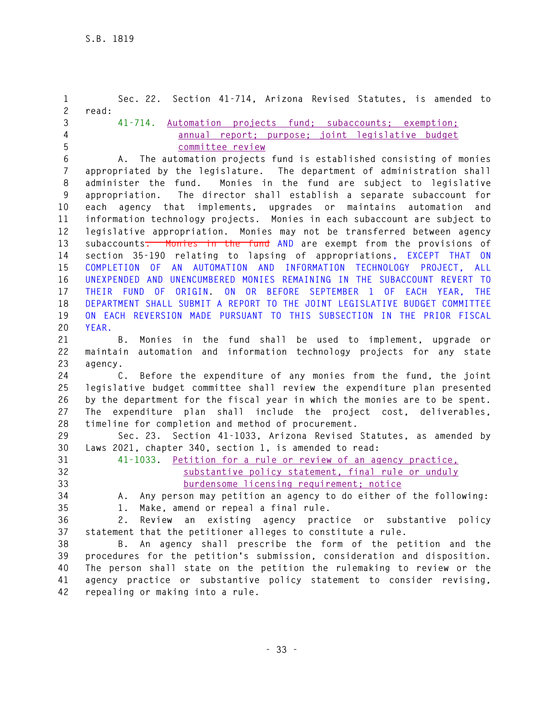**1 Sec. 22. Section 41-714, Arizona Revised Statutes, is amended to 2 read: 3 41-714. Automation projects fund; subaccounts; exemption; 4 annual report; purpose; joint legislative budget 5 committee review 6 A. The automation projects fund is established consisting of monies 7 appropriated by the legislature. The department of administration shall 8 administer the fund. Monies in the fund are subject to legislative 9 appropriation. The director shall establish a separate subaccount for 10 each agency that implements, upgrades or maintains automation and 11 information technology projects. Monies in each subaccount are subject to 12 legislative appropriation. Monies may not be transferred between agency 13 subaccounts. Monies in the fund AND are exempt from the provisions of 14 section 35-190 relating to lapsing of appropriations, EXCEPT THAT ON 15 COMPLETION OF AN AUTOMATION AND INFORMATION TECHNOLOGY PROJECT, ALL 16 UNEXPENDED AND UNENCUMBERED MONIES REMAINING IN THE SUBACCOUNT REVERT TO 17 THEIR FUND OF ORIGIN. ON OR BEFORE SEPTEMBER 1 OF EACH YEAR, THE 18 DEPARTMENT SHALL SUBMIT A REPORT TO THE JOINT LEGISLATIVE BUDGET COMMITTEE 19 ON EACH REVERSION MADE PURSUANT TO THIS SUBSECTION IN THE PRIOR FISCAL 20 YEAR. 21 B. Monies in the fund shall be used to implement, upgrade or 22 maintain automation and information technology projects for any state 23 agency. 24 C. Before the expenditure of any monies from the fund, the joint 25 legislative budget committee shall review the expenditure plan presented 26 by the department for the fiscal year in which the monies are to be spent. 27 The expenditure plan shall include the project cost, deliverables, 28 timeline for completion and method of procurement. 29 Sec. 23. Section 41-1033, Arizona Revised Statutes, as amended by 30 Laws 2021, chapter 340, section 1, is amended to read: 31 41-1033. Petition for a rule or review of an agency practice, 32 substantive policy statement, final rule or unduly 33 burdensome licensing requirement; notice 34 A. Any person may petition an agency to do either of the following: 35 1. Make, amend or repeal a final rule. 36 2. Review an existing agency practice or substantive policy 37 statement that the petitioner alleges to constitute a rule. 38 B. An agency shall prescribe the form of the petition and the 39 procedures for the petition's submission, consideration and disposition. 40 The person shall state on the petition the rulemaking to review or the 41 agency practice or substantive policy statement to consider revising,** 

**42 repealing or making into a rule.**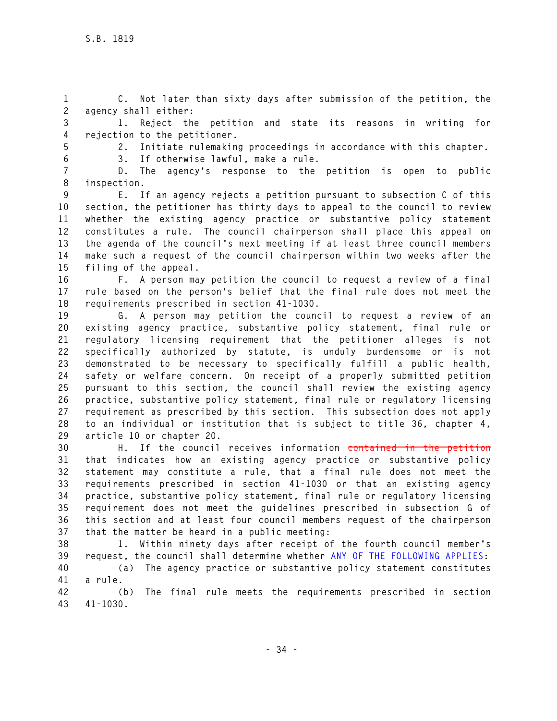**1 C. Not later than sixty days after submission of the petition, the 2 agency shall either:** 

**3 1. Reject the petition and state its reasons in writing for 4 rejection to the petitioner.** 

**5 2. Initiate rulemaking proceedings in accordance with this chapter. 6 3. If otherwise lawful, make a rule.** 

**7 D. The agency's response to the petition is open to public 8 inspection.** 

**9 E. If an agency rejects a petition pursuant to subsection C of this 10 section, the petitioner has thirty days to appeal to the council to review 11 whether the existing agency practice or substantive policy statement 12 constitutes a rule. The council chairperson shall place this appeal on 13 the agenda of the council's next meeting if at least three council members 14 make such a request of the council chairperson within two weeks after the 15 filing of the appeal.** 

**16 F. A person may petition the council to request a review of a final 17 rule based on the person's belief that the final rule does not meet the 18 requirements prescribed in section 41-1030.** 

**19 G. A person may petition the council to request a review of an 20 existing agency practice, substantive policy statement, final rule or 21 regulatory licensing requirement that the petitioner alleges is not 22 specifically authorized by statute, is unduly burdensome or is not 23 demonstrated to be necessary to specifically fulfill a public health, 24 safety or welfare concern. On receipt of a properly submitted petition 25 pursuant to this section, the council shall review the existing agency 26 practice, substantive policy statement, final rule or regulatory licensing 27 requirement as prescribed by this section. This subsection does not apply 28 to an individual or institution that is subject to title 36, chapter 4, 29 article 10 or chapter 20.** 

**30 H. If the council receives information contained in the petition 31 that indicates how an existing agency practice or substantive policy 32 statement may constitute a rule, that a final rule does not meet the 33 requirements prescribed in section 41-1030 or that an existing agency 34 practice, substantive policy statement, final rule or regulatory licensing 35 requirement does not meet the guidelines prescribed in subsection G of 36 this section and at least four council members request of the chairperson 37 that the matter be heard in a public meeting:** 

**38 1. Within ninety days after receipt of the fourth council member's 39 request, the council shall determine whether ANY OF THE FOLLOWING APPLIES:** 

**40 (a) The agency practice or substantive policy statement constitutes 41 a rule.** 

**42 (b) The final rule meets the requirements prescribed in section 43 41-1030.**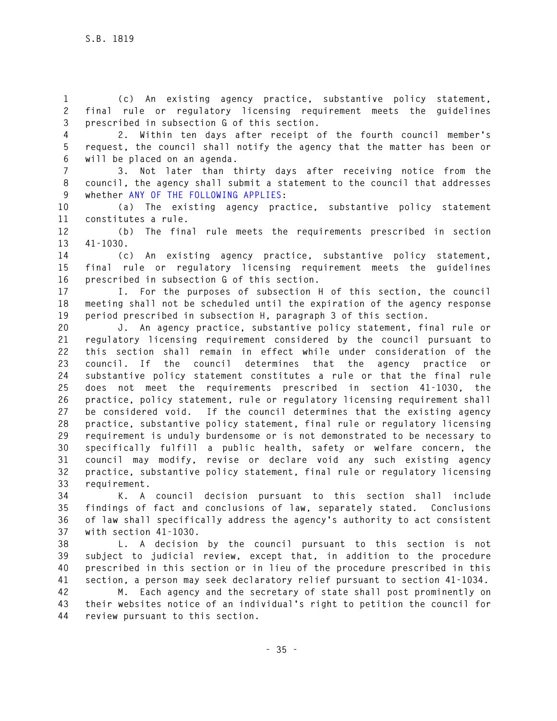**1 (c) An existing agency practice, substantive policy statement, 2 final rule or regulatory licensing requirement meets the guidelines 3 prescribed in subsection G of this section.** 

**4 2. Within ten days after receipt of the fourth council member's 5 request, the council shall notify the agency that the matter has been or 6 will be placed on an agenda.** 

**7 3. Not later than thirty days after receiving notice from the 8 council, the agency shall submit a statement to the council that addresses 9 whether ANY OF THE FOLLOWING APPLIES:** 

**10 (a) The existing agency practice, substantive policy statement 11 constitutes a rule.** 

**12 (b) The final rule meets the requirements prescribed in section 13 41-1030.** 

**14 (c) An existing agency practice, substantive policy statement, 15 final rule or regulatory licensing requirement meets the guidelines 16 prescribed in subsection G of this section.** 

**17 I. For the purposes of subsection H of this section, the council 18 meeting shall not be scheduled until the expiration of the agency response 19 period prescribed in subsection H, paragraph 3 of this section.** 

**20 J. An agency practice, substantive policy statement, final rule or 21 regulatory licensing requirement considered by the council pursuant to 22 this section shall remain in effect while under consideration of the 23 council. If the council determines that the agency practice or 24 substantive policy statement constitutes a rule or that the final rule 25 does not meet the requirements prescribed in section 41-1030, the 26 practice, policy statement, rule or regulatory licensing requirement shall 27 be considered void. If the council determines that the existing agency 28 practice, substantive policy statement, final rule or regulatory licensing 29 requirement is unduly burdensome or is not demonstrated to be necessary to 30 specifically fulfill a public health, safety or welfare concern, the 31 council may modify, revise or declare void any such existing agency 32 practice, substantive policy statement, final rule or regulatory licensing 33 requirement.** 

**34 K. A council decision pursuant to this section shall include 35 findings of fact and conclusions of law, separately stated. Conclusions 36 of law shall specifically address the agency's authority to act consistent 37 with section 41-1030.** 

**38 L. A decision by the council pursuant to this section is not 39 subject to judicial review, except that, in addition to the procedure 40 prescribed in this section or in lieu of the procedure prescribed in this 41 section, a person may seek declaratory relief pursuant to section 41-1034.** 

**42 M. Each agency and the secretary of state shall post prominently on 43 their websites notice of an individual's right to petition the council for 44 review pursuant to this section.**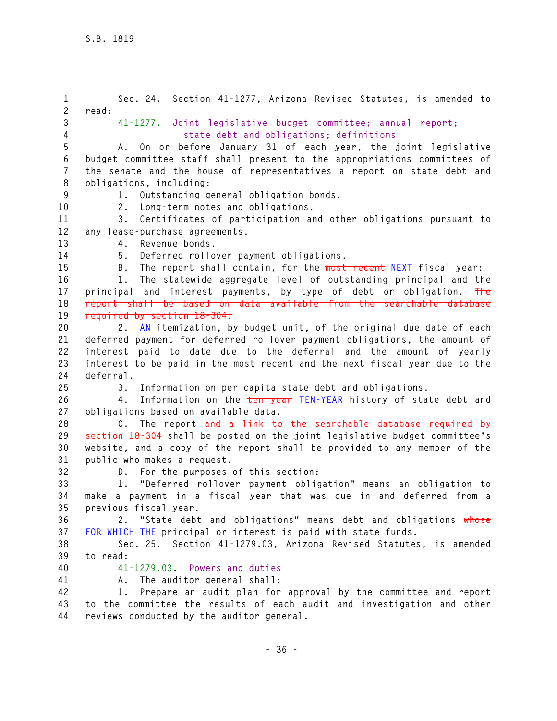**1 Sec. 24. Section 41-1277, Arizona Revised Statutes, is amended to 2 read: 3 41-1277. Joint legislative budget committee; annual report; 4 state debt and obligations; definitions 5 A. On or before January 31 of each year, the joint legislative 6 budget committee staff shall present to the appropriations committees of 7 the senate and the house of representatives a report on state debt and 8 obligations, including: 9 1. Outstanding general obligation bonds. 10 2. Long-term notes and obligations. 11 3. Certificates of participation and other obligations pursuant to 12 any lease-purchase agreements. 13 4. Revenue bonds. 14 5. Deferred rollover payment obligations. 15 B. The report shall contain, for the most recent NEXT fiscal year: 16 1. The statewide aggregate level of outstanding principal and the 17 principal and interest payments, by type of debt or obligation. The 18 report shall be based on data available from the searchable database 19 required by section 18-304. 20 2. AN itemization, by budget unit, of the original due date of each 21 deferred payment for deferred rollover payment obligations, the amount of 22 interest paid to date due to the deferral and the amount of yearly 23 interest to be paid in the most recent and the next fiscal year due to the 24 deferral. 25 3. Information on per capita state debt and obligations. 26 4. Information on the ten year TEN-YEAR history of state debt and 27 obligations based on available data. 28 C. The report and a link to the searchable database required by 29 section 18-304 shall be posted on the joint legislative budget committee's 30 website, and a copy of the report shall be provided to any member of the 31 public who makes a request. 32 D. For the purposes of this section: 33 1. "Deferred rollover payment obligation" means an obligation to 34 make a payment in a fiscal year that was due in and deferred from a 35 previous fiscal year. 36 2. "State debt and obligations" means debt and obligations whose 37 FOR WHICH THE principal or interest is paid with state funds. 38 Sec. 25. Section 41-1279.03, Arizona Revised Statutes, is amended 39 to read: 40 41-1279.03. Powers and duties 41 A. The auditor general shall: 42 1. Prepare an audit plan for approval by the committee and report 43 to the committee the results of each audit and investigation and other 44 reviews conducted by the auditor general.**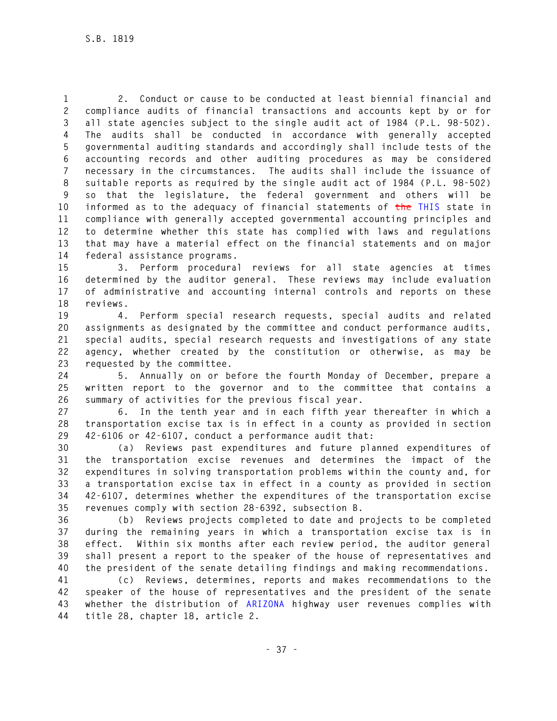**1 2. Conduct or cause to be conducted at least biennial financial and 2 compliance audits of financial transactions and accounts kept by or for 3 all state agencies subject to the single audit act of 1984 (P.L. 98-502). 4 The audits shall be conducted in accordance with generally accepted 5 governmental auditing standards and accordingly shall include tests of the 6 accounting records and other auditing procedures as may be considered 7 necessary in the circumstances. The audits shall include the issuance of 8 suitable reports as required by the single audit act of 1984 (P.L. 98-502) 9 so that the legislature, the federal government and others will be 10 informed as to the adequacy of financial statements of the THIS state in 11 compliance with generally accepted governmental accounting principles and 12 to determine whether this state has complied with laws and regulations 13 that may have a material effect on the financial statements and on major 14 federal assistance programs.** 

**15 3. Perform procedural reviews for all state agencies at times 16 determined by the auditor general. These reviews may include evaluation 17 of administrative and accounting internal controls and reports on these 18 reviews.** 

**19 4. Perform special research requests, special audits and related 20 assignments as designated by the committee and conduct performance audits, 21 special audits, special research requests and investigations of any state 22 agency, whether created by the constitution or otherwise, as may be 23 requested by the committee.** 

**24 5. Annually on or before the fourth Monday of December, prepare a 25 written report to the governor and to the committee that contains a 26 summary of activities for the previous fiscal year.** 

**27 6. In the tenth year and in each fifth year thereafter in which a 28 transportation excise tax is in effect in a county as provided in section 29 42-6106 or 42-6107, conduct a performance audit that:** 

**30 (a) Reviews past expenditures and future planned expenditures of 31 the transportation excise revenues and determines the impact of the 32 expenditures in solving transportation problems within the county and, for 33 a transportation excise tax in effect in a county as provided in section 34 42-6107, determines whether the expenditures of the transportation excise 35 revenues comply with section 28-6392, subsection B.** 

**36 (b) Reviews projects completed to date and projects to be completed 37 during the remaining years in which a transportation excise tax is in 38 effect. Within six months after each review period, the auditor general 39 shall present a report to the speaker of the house of representatives and 40 the president of the senate detailing findings and making recommendations.** 

**41 (c) Reviews, determines, reports and makes recommendations to the 42 speaker of the house of representatives and the president of the senate 43 whether the distribution of ARIZONA highway user revenues complies with 44 title 28, chapter 18, article 2.**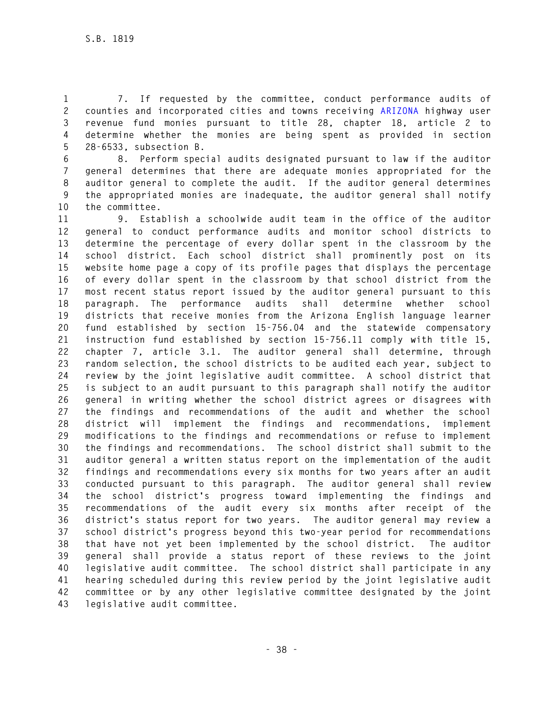**1 7. If requested by the committee, conduct performance audits of 2 counties and incorporated cities and towns receiving ARIZONA highway user 3 revenue fund monies pursuant to title 28, chapter 18, article 2 to 4 determine whether the monies are being spent as provided in section 5 28-6533, subsection B.** 

**6 8. Perform special audits designated pursuant to law if the auditor 7 general determines that there are adequate monies appropriated for the 8 auditor general to complete the audit. If the auditor general determines 9 the appropriated monies are inadequate, the auditor general shall notify 10 the committee.** 

**11 9. Establish a schoolwide audit team in the office of the auditor 12 general to conduct performance audits and monitor school districts to 13 determine the percentage of every dollar spent in the classroom by the 14 school district. Each school district shall prominently post on its 15 website home page a copy of its profile pages that displays the percentage 16 of every dollar spent in the classroom by that school district from the 17 most recent status report issued by the auditor general pursuant to this 18 paragraph. The performance audits shall determine whether school 19 districts that receive monies from the Arizona English language learner 20 fund established by section 15-756.04 and the statewide compensatory 21 instruction fund established by section 15-756.11 comply with title 15, 22 chapter 7, article 3.1. The auditor general shall determine, through 23 random selection, the school districts to be audited each year, subject to 24 review by the joint legislative audit committee. A school district that 25 is subject to an audit pursuant to this paragraph shall notify the auditor 26 general in writing whether the school district agrees or disagrees with 27 the findings and recommendations of the audit and whether the school 28 district will implement the findings and recommendations, implement 29 modifications to the findings and recommendations or refuse to implement 30 the findings and recommendations. The school district shall submit to the 31 auditor general a written status report on the implementation of the audit 32 findings and recommendations every six months for two years after an audit 33 conducted pursuant to this paragraph. The auditor general shall review 34 the school district's progress toward implementing the findings and 35 recommendations of the audit every six months after receipt of the 36 district's status report for two years. The auditor general may review a 37 school district's progress beyond this two-year period for recommendations 38 that have not yet been implemented by the school district. The auditor 39 general shall provide a status report of these reviews to the joint 40 legislative audit committee. The school district shall participate in any 41 hearing scheduled during this review period by the joint legislative audit 42 committee or by any other legislative committee designated by the joint 43 legislative audit committee.**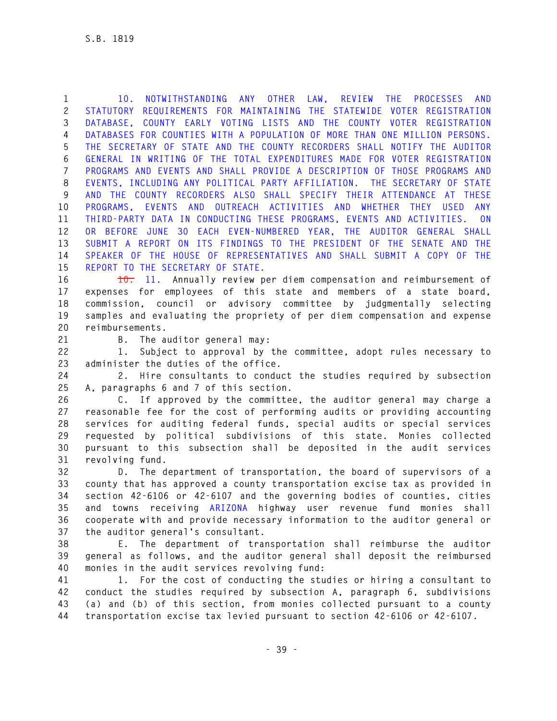**1 10. NOTWITHSTANDING ANY OTHER LAW, REVIEW THE PROCESSES AND 2 STATUTORY REQUIREMENTS FOR MAINTAINING THE STATEWIDE VOTER REGISTRATION 3 DATABASE, COUNTY EARLY VOTING LISTS AND THE COUNTY VOTER REGISTRATION 4 DATABASES FOR COUNTIES WITH A POPULATION OF MORE THAN ONE MILLION PERSONS. 5 THE SECRETARY OF STATE AND THE COUNTY RECORDERS SHALL NOTIFY THE AUDITOR 6 GENERAL IN WRITING OF THE TOTAL EXPENDITURES MADE FOR VOTER REGISTRATION 7 PROGRAMS AND EVENTS AND SHALL PROVIDE A DESCRIPTION OF THOSE PROGRAMS AND 8 EVENTS, INCLUDING ANY POLITICAL PARTY AFFILIATION. THE SECRETARY OF STATE 9 AND THE COUNTY RECORDERS ALSO SHALL SPECIFY THEIR ATTENDANCE AT THESE 10 PROGRAMS, EVENTS AND OUTREACH ACTIVITIES AND WHETHER THEY USED ANY 11 THIRD-PARTY DATA IN CONDUCTING THESE PROGRAMS, EVENTS AND ACTIVITIES. ON 12 OR BEFORE JUNE 30 EACH EVEN-NUMBERED YEAR, THE AUDITOR GENERAL SHALL 13 SUBMIT A REPORT ON ITS FINDINGS TO THE PRESIDENT OF THE SENATE AND THE 14 SPEAKER OF THE HOUSE OF REPRESENTATIVES AND SHALL SUBMIT A COPY OF THE 15 REPORT TO THE SECRETARY OF STATE.** 

**16 10. 11. Annually review per diem compensation and reimbursement of 17 expenses for employees of this state and members of a state board, 18 commission, council or advisory committee by judgmentally selecting 19 samples and evaluating the propriety of per diem compensation and expense 20 reimbursements.** 

**21 B. The auditor general may:** 

**22 1. Subject to approval by the committee, adopt rules necessary to 23 administer the duties of the office.** 

**24 2. Hire consultants to conduct the studies required by subsection 25 A, paragraphs 6 and 7 of this section.** 

**26 C. If approved by the committee, the auditor general may charge a 27 reasonable fee for the cost of performing audits or providing accounting 28 services for auditing federal funds, special audits or special services 29 requested by political subdivisions of this state. Monies collected 30 pursuant to this subsection shall be deposited in the audit services 31 revolving fund.** 

**32 D. The department of transportation, the board of supervisors of a 33 county that has approved a county transportation excise tax as provided in 34 section 42-6106 or 42-6107 and the governing bodies of counties, cities 35 and towns receiving ARIZONA highway user revenue fund monies shall 36 cooperate with and provide necessary information to the auditor general or 37 the auditor general's consultant.** 

**38 E. The department of transportation shall reimburse the auditor 39 general as follows, and the auditor general shall deposit the reimbursed 40 monies in the audit services revolving fund:** 

**41 1. For the cost of conducting the studies or hiring a consultant to 42 conduct the studies required by subsection A, paragraph 6, subdivisions 43 (a) and (b) of this section, from monies collected pursuant to a county 44 transportation excise tax levied pursuant to section 42-6106 or 42-6107.**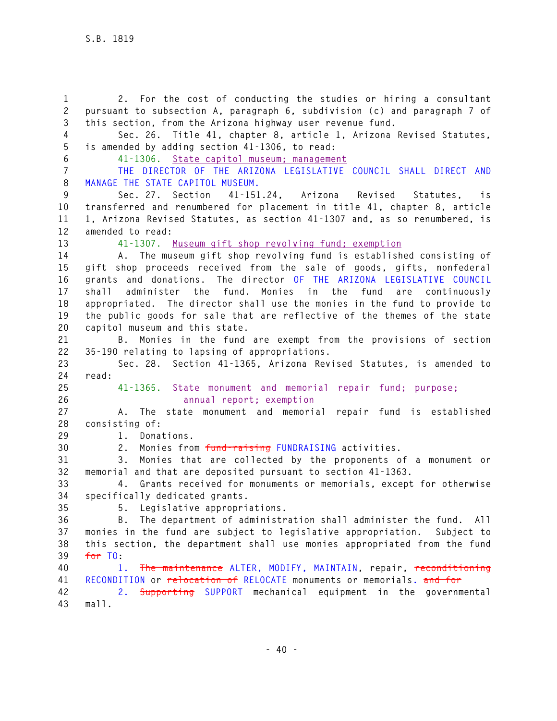**1 2. For the cost of conducting the studies or hiring a consultant 2 pursuant to subsection A, paragraph 6, subdivision (c) and paragraph 7 of 3 this section, from the Arizona highway user revenue fund. 4 Sec. 26. Title 41, chapter 8, article 1, Arizona Revised Statutes, 5 is amended by adding section 41-1306, to read: 6 41-1306. State capitol museum; management 7 THE DIRECTOR OF THE ARIZONA LEGISLATIVE COUNCIL SHALL DIRECT AND 8 MANAGE THE STATE CAPITOL MUSEUM. 9 Sec. 27. Section 41-151.24, Arizona Revised Statutes, is 10 transferred and renumbered for placement in title 41, chapter 8, article 11 1, Arizona Revised Statutes, as section 41-1307 and, as so renumbered, is 12 amended to read: 13 41-1307. Museum gift shop revolving fund; exemption 14 A. The museum gift shop revolving fund is established consisting of 15 gift shop proceeds received from the sale of goods, gifts, nonfederal 16 grants and donations. The director OF THE ARIZONA LEGISLATIVE COUNCIL 17 shall administer the fund. Monies in the fund are continuously 18 appropriated. The director shall use the monies in the fund to provide to 19 the public goods for sale that are reflective of the themes of the state 20 capitol museum and this state. 21 B. Monies in the fund are exempt from the provisions of section 22 35-190 relating to lapsing of appropriations. 23 Sec. 28. Section 41-1365, Arizona Revised Statutes, is amended to 24 read: 25 41-1365. State monument and memorial repair fund; purpose; 26 annual report; exemption 27 A. The state monument and memorial repair fund is established 28 consisting of: 29 1. Donations. 30 2. Monies from fund-raising FUNDRAISING activities. 31 3. Monies that are collected by the proponents of a monument or 32 memorial and that are deposited pursuant to section 41-1363. 33 4. Grants received for monuments or memorials, except for otherwise 34 specifically dedicated grants. 35 5. Legislative appropriations. 36 B. The department of administration shall administer the fund. All 37 monies in the fund are subject to legislative appropriation. Subject to 38 this section, the department shall use monies appropriated from the fund 39 for TO: 40 1. The maintenance ALTER, MODIFY, MAINTAIN, repair, reconditioning 41 RECONDITION or relocation of RELOCATE monuments or memorials. and for 42 2. Supporting SUPPORT mechanical equipment in the governmental 43 mall.**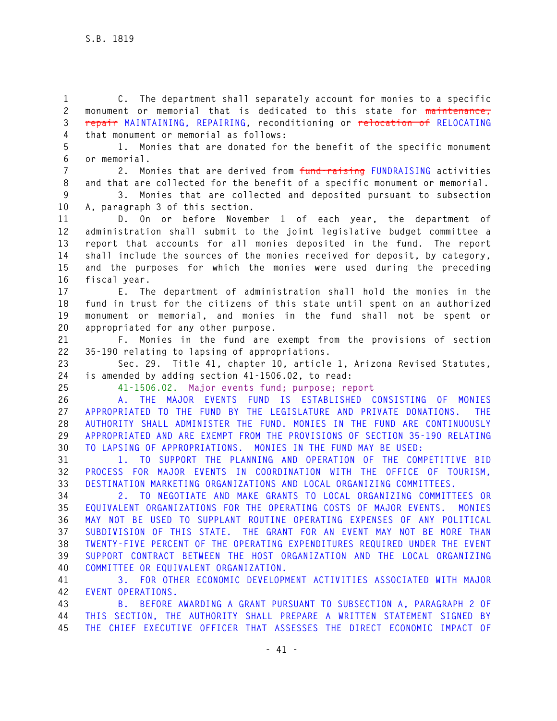**1 C. The department shall separately account for monies to a specific 2 monument or memorial that is dedicated to this state for maintenance, 3 repair MAINTAINING, REPAIRING, reconditioning or relocation of RELOCATING 4 that monument or memorial as follows:** 

**5 1. Monies that are donated for the benefit of the specific monument 6 or memorial.** 

**7 2. Monies that are derived from fund-raising FUNDRAISING activities 8 and that are collected for the benefit of a specific monument or memorial.** 

**9 3. Monies that are collected and deposited pursuant to subsection 10 A, paragraph 3 of this section.** 

**11 D. On or before November 1 of each year, the department of 12 administration shall submit to the joint legislative budget committee a 13 report that accounts for all monies deposited in the fund. The report 14 shall include the sources of the monies received for deposit, by category, 15 and the purposes for which the monies were used during the preceding 16 fiscal year.** 

**17 E. The department of administration shall hold the monies in the 18 fund in trust for the citizens of this state until spent on an authorized 19 monument or memorial, and monies in the fund shall not be spent or 20 appropriated for any other purpose.** 

**21 F. Monies in the fund are exempt from the provisions of section 22 35-190 relating to lapsing of appropriations.** 

**23 Sec. 29. Title 41, chapter 10, article 1, Arizona Revised Statutes, 24 is amended by adding section 41-1506.02, to read:** 

**25 41-1506.02. Major events fund; purpose; report** 

**26 A. THE MAJOR EVENTS FUND IS ESTABLISHED CONSISTING OF MONIES 27 APPROPRIATED TO THE FUND BY THE LEGISLATURE AND PRIVATE DONATIONS. THE 28 AUTHORITY SHALL ADMINISTER THE FUND. MONIES IN THE FUND ARE CONTINUOUSLY 29 APPROPRIATED AND ARE EXEMPT FROM THE PROVISIONS OF SECTION 35-190 RELATING 30 TO LAPSING OF APPROPRIATIONS. MONIES IN THE FUND MAY BE USED:** 

**31 1. TO SUPPORT THE PLANNING AND OPERATION OF THE COMPETITIVE BID 32 PROCESS FOR MAJOR EVENTS IN COORDINATION WITH THE OFFICE OF TOURISM, 33 DESTINATION MARKETING ORGANIZATIONS AND LOCAL ORGANIZING COMMITTEES.** 

**34 2. TO NEGOTIATE AND MAKE GRANTS TO LOCAL ORGANIZING COMMITTEES OR 35 EQUIVALENT ORGANIZATIONS FOR THE OPERATING COSTS OF MAJOR EVENTS. MONIES 36 MAY NOT BE USED TO SUPPLANT ROUTINE OPERATING EXPENSES OF ANY POLITICAL 37 SUBDIVISION OF THIS STATE. THE GRANT FOR AN EVENT MAY NOT BE MORE THAN 38 TWENTY-FIVE PERCENT OF THE OPERATING EXPENDITURES REQUIRED UNDER THE EVENT 39 SUPPORT CONTRACT BETWEEN THE HOST ORGANIZATION AND THE LOCAL ORGANIZING 40 COMMITTEE OR EQUIVALENT ORGANIZATION.** 

**41 3. FOR OTHER ECONOMIC DEVELOPMENT ACTIVITIES ASSOCIATED WITH MAJOR 42 EVENT OPERATIONS.** 

**43 B. BEFORE AWARDING A GRANT PURSUANT TO SUBSECTION A, PARAGRAPH 2 OF 44 THIS SECTION, THE AUTHORITY SHALL PREPARE A WRITTEN STATEMENT SIGNED BY 45 THE CHIEF EXECUTIVE OFFICER THAT ASSESSES THE DIRECT ECONOMIC IMPACT OF**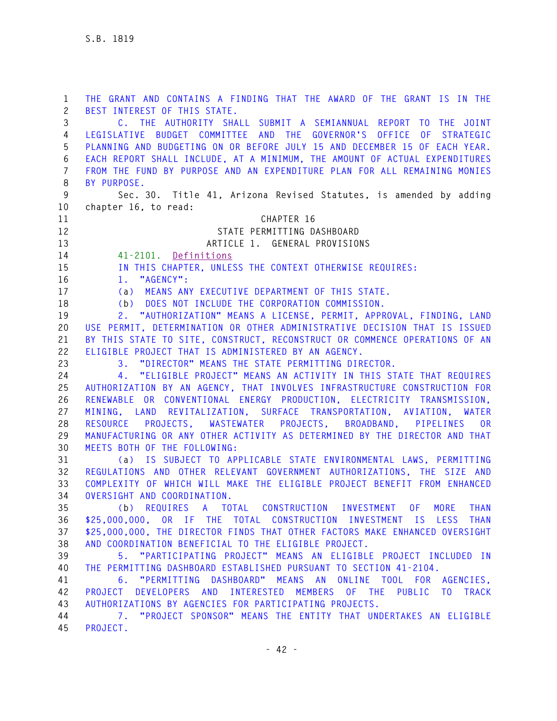**1 THE GRANT AND CONTAINS A FINDING THAT THE AWARD OF THE GRANT IS IN THE 2 BEST INTEREST OF THIS STATE. 3 C. THE AUTHORITY SHALL SUBMIT A SEMIANNUAL REPORT TO THE JOINT 4 LEGISLATIVE BUDGET COMMITTEE AND THE GOVERNOR'S OFFICE OF STRATEGIC 5 PLANNING AND BUDGETING ON OR BEFORE JULY 15 AND DECEMBER 15 OF EACH YEAR. 6 EACH REPORT SHALL INCLUDE, AT A MINIMUM, THE AMOUNT OF ACTUAL EXPENDITURES 7 FROM THE FUND BY PURPOSE AND AN EXPENDITURE PLAN FOR ALL REMAINING MONIES 8 BY PURPOSE. 9 Sec. 30. Title 41, Arizona Revised Statutes, is amended by adding 10 chapter 16, to read: 11 CHAPTER 16 12 STATE PERMITTING DASHBOARD 13 ARTICLE 1. GENERAL PROVISIONS 14 41-2101. Definitions 15 IN THIS CHAPTER, UNLESS THE CONTEXT OTHERWISE REQUIRES: 16 1. "AGENCY": 17 (a) MEANS ANY EXECUTIVE DEPARTMENT OF THIS STATE. 18 (b) DOES NOT INCLUDE THE CORPORATION COMMISSION. 19 2. "AUTHORIZATION" MEANS A LICENSE, PERMIT, APPROVAL, FINDING, LAND 20 USE PERMIT, DETERMINATION OR OTHER ADMINISTRATIVE DECISION THAT IS ISSUED 21 BY THIS STATE TO SITE, CONSTRUCT, RECONSTRUCT OR COMMENCE OPERATIONS OF AN 22 ELIGIBLE PROJECT THAT IS ADMINISTERED BY AN AGENCY. 23 3. "DIRECTOR" MEANS THE STATE PERMITTING DIRECTOR. 24 4. "ELIGIBLE PROJECT" MEANS AN ACTIVITY IN THIS STATE THAT REQUIRES 25 AUTHORIZATION BY AN AGENCY, THAT INVOLVES INFRASTRUCTURE CONSTRUCTION FOR 26 RENEWABLE OR CONVENTIONAL ENERGY PRODUCTION, ELECTRICITY TRANSMISSION, 27 MINING, LAND REVITALIZATION, SURFACE TRANSPORTATION, AVIATION, WATER 28 RESOURCE PROJECTS, WASTEWATER PROJECTS, BROADBAND, PIPELINES OR 29 MANUFACTURING OR ANY OTHER ACTIVITY AS DETERMINED BY THE DIRECTOR AND THAT 30 MEETS BOTH OF THE FOLLOWING: 31 (a) IS SUBJECT TO APPLICABLE STATE ENVIRONMENTAL LAWS, PERMITTING 32 REGULATIONS AND OTHER RELEVANT GOVERNMENT AUTHORIZATIONS, THE SIZE AND 33 COMPLEXITY OF WHICH WILL MAKE THE ELIGIBLE PROJECT BENEFIT FROM ENHANCED 34 OVERSIGHT AND COORDINATION. 35 (b) REQUIRES A TOTAL CONSTRUCTION INVESTMENT OF MORE THAN 36 \$25,000,000, OR IF THE TOTAL CONSTRUCTION INVESTMENT IS LESS THAN 37 \$25,000,000, THE DIRECTOR FINDS THAT OTHER FACTORS MAKE ENHANCED OVERSIGHT 38 AND COORDINATION BENEFICIAL TO THE ELIGIBLE PROJECT. 39 5. "PARTICIPATING PROJECT" MEANS AN ELIGIBLE PROJECT INCLUDED IN 40 THE PERMITTING DASHBOARD ESTABLISHED PURSUANT TO SECTION 41-2104. 41 6. "PERMITTING DASHBOARD" MEANS AN ONLINE TOOL FOR AGENCIES, 42 PROJECT DEVELOPERS AND INTERESTED MEMBERS OF THE PUBLIC TO TRACK 43 AUTHORIZATIONS BY AGENCIES FOR PARTICIPATING PROJECTS. 44 7. "PROJECT SPONSOR" MEANS THE ENTITY THAT UNDERTAKES AN ELIGIBLE 45 PROJECT.**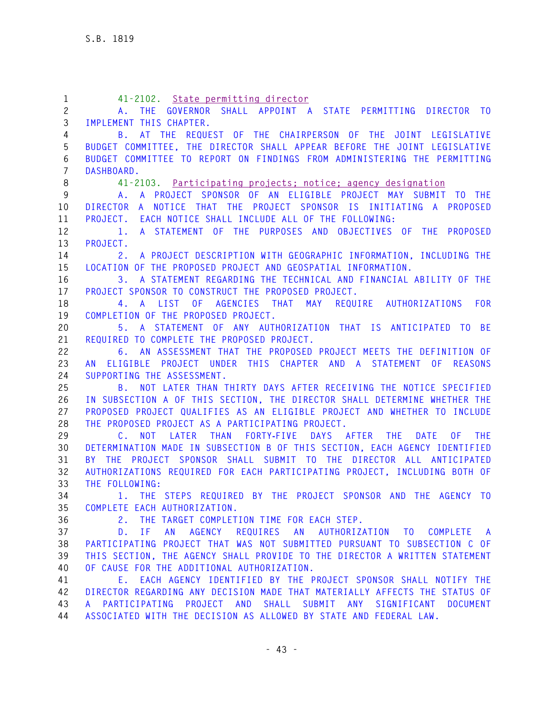| $\mathbf{1}$   | 41-2102. State permitting director                                         |
|----------------|----------------------------------------------------------------------------|
| $\mathbf{2}$   | THE GOVERNOR SHALL APPOINT A STATE PERMITTING DIRECTOR TO<br>A.,           |
| 3              | IMPLEMENT THIS CHAPTER.                                                    |
| 4              | B. AT THE REQUEST OF THE CHAIRPERSON OF THE JOINT LEGISLATIVE              |
| 5              | BUDGET COMMITTEE, THE DIRECTOR SHALL APPEAR BEFORE THE JOINT LEGISLATIVE   |
| 6              | BUDGET COMMITTEE TO REPORT ON FINDINGS FROM ADMINISTERING THE PERMITTING   |
| $\overline{7}$ | DASHBOARD.                                                                 |
| 8              | 41-2103. Participating projects; notice; agency designation                |
| $9\,$          | A. A PROJECT SPONSOR OF AN ELIGIBLE PROJECT MAY SUBMIT TO THE              |
| 10             | DIRECTOR A NOTICE THAT THE PROJECT SPONSOR IS INITIATING A PROPOSED        |
| 11             | PROJECT. EACH NOTICE SHALL INCLUDE ALL OF THE FOLLOWING:                   |
| 12             | A STATEMENT OF THE PURPOSES AND OBJECTIVES OF THE PROPOSED<br>1.           |
| 13             | PROJECT.                                                                   |
| 14             | 2. A PROJECT DESCRIPTION WITH GEOGRAPHIC INFORMATION, INCLUDING THE        |
| 15             | LOCATION OF THE PROPOSED PROJECT AND GEOSPATIAL INFORMATION.               |
| 16             | A STATEMENT REGARDING THE TECHNICAL AND FINANCIAL ABILITY OF THE<br>3.     |
| 17             | PROJECT SPONSOR TO CONSTRUCT THE PROPOSED PROJECT.                         |
| 18             | 4. A LIST OF AGENCIES THAT MAY REQUIRE AUTHORIZATIONS FOR                  |
| 19             | COMPLETION OF THE PROPOSED PROJECT.                                        |
| 20             | 5. A STATEMENT OF ANY AUTHORIZATION THAT IS ANTICIPATED TO BE              |
| 21             | REQUIRED TO COMPLETE THE PROPOSED PROJECT.                                 |
| 22             | 6. AN ASSESSMENT THAT THE PROPOSED PROJECT MEETS THE DEFINITION OF         |
| 23             | AN ELIGIBLE PROJECT UNDER THIS CHAPTER AND A STATEMENT OF REASONS          |
| 24             | SUPPORTING THE ASSESSMENT.                                                 |
| 25             | B. NOT LATER THAN THIRTY DAYS AFTER RECEIVING THE NOTICE SPECIFIED         |
| 26             | IN SUBSECTION A OF THIS SECTION, THE DIRECTOR SHALL DETERMINE WHETHER THE  |
| 27             | PROPOSED PROJECT QUALIFIES AS AN ELIGIBLE PROJECT AND WHETHER TO INCLUDE   |
| 28             | THE PROPOSED PROJECT AS A PARTICIPATING PROJECT.                           |
| 29             | C. NOT<br>LATER THAN FORTY-FIVE DAYS AFTER THE DATE<br>0 F<br><b>THE</b>   |
| 30             | DETERMINATION MADE IN SUBSECTION B OF THIS SECTION, EACH AGENCY IDENTIFIED |
| 31             | BY THE PROJECT SPONSOR SHALL SUBMIT TO THE DIRECTOR ALL ANTICIPATED        |
| 32             | AUTHORIZATIONS REQUIRED FOR EACH PARTICIPATING PROJECT, INCLUDING BOTH OF  |
| 33             | THE FOLLOWING:                                                             |
| 34             | 1. THE STEPS REQUIRED BY THE PROJECT SPONSOR AND THE AGENCY TO             |
| 35             | COMPLETE EACH AUTHORIZATION.                                               |
| 36             | 2.<br>THE TARGET COMPLETION TIME FOR EACH STEP.                            |
| 37             | AN AGENCY REQUIRES AN AUTHORIZATION TO COMPLETE<br>$D.$ IF<br><b>A</b>     |
| 38             | PARTICIPATING PROJECT THAT WAS NOT SUBMITTED PURSUANT TO SUBSECTION C OF   |
| 39             | THIS SECTION, THE AGENCY SHALL PROVIDE TO THE DIRECTOR A WRITTEN STATEMENT |
| 40             | OF CAUSE FOR THE ADDITIONAL AUTHORIZATION.                                 |
| 41             | E. EACH AGENCY IDENTIFIED BY THE PROJECT SPONSOR SHALL NOTIFY THE          |
| 42             | DIRECTOR REGARDING ANY DECISION MADE THAT MATERIALLY AFFECTS THE STATUS OF |
| 43             | A PARTICIPATING PROJECT AND SHALL SUBMIT ANY SIGNIFICANT DOCUMENT          |
| 44             | ASSOCIATED WITH THE DECISION AS ALLOWED BY STATE AND FEDERAL LAW.          |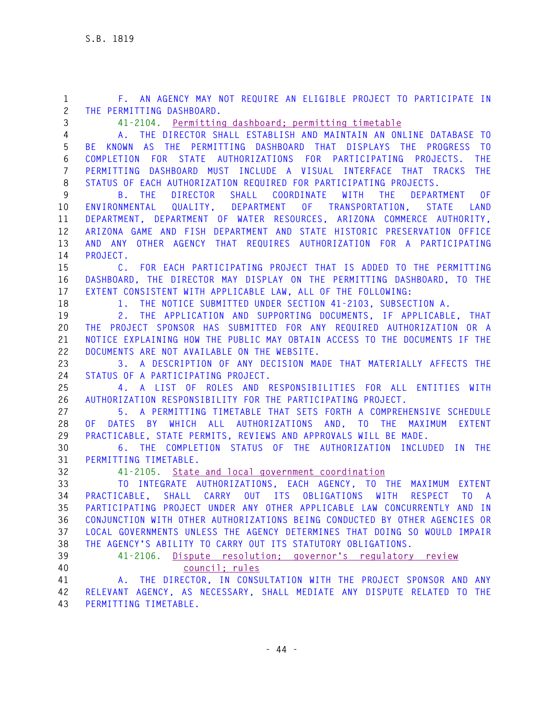**1 F. AN AGENCY MAY NOT REQUIRE AN ELIGIBLE PROJECT TO PARTICIPATE IN 2 THE PERMITTING DASHBOARD. 3 41-2104. Permitting dashboard; permitting timetable 4 A. THE DIRECTOR SHALL ESTABLISH AND MAINTAIN AN ONLINE DATABASE TO 5 BE KNOWN AS THE PERMITTING DASHBOARD THAT DISPLAYS THE PROGRESS TO 6 COMPLETION FOR STATE AUTHORIZATIONS FOR PARTICIPATING PROJECTS. THE 7 PERMITTING DASHBOARD MUST INCLUDE A VISUAL INTERFACE THAT TRACKS THE 8 STATUS OF EACH AUTHORIZATION REQUIRED FOR PARTICIPATING PROJECTS. 9 B. THE DIRECTOR SHALL COORDINATE WITH THE DEPARTMENT OF 10 ENVIRONMENTAL QUALITY, DEPARTMENT OF TRANSPORTATION, STATE LAND 11 DEPARTMENT, DEPARTMENT OF WATER RESOURCES, ARIZONA COMMERCE AUTHORITY, 12 ARIZONA GAME AND FISH DEPARTMENT AND STATE HISTORIC PRESERVATION OFFICE 13 AND ANY OTHER AGENCY THAT REQUIRES AUTHORIZATION FOR A PARTICIPATING 14 PROJECT. 15 C. FOR EACH PARTICIPATING PROJECT THAT IS ADDED TO THE PERMITTING 16 DASHBOARD, THE DIRECTOR MAY DISPLAY ON THE PERMITTING DASHBOARD, TO THE 17 EXTENT CONSISTENT WITH APPLICABLE LAW, ALL OF THE FOLLOWING: 18 1. THE NOTICE SUBMITTED UNDER SECTION 41-2103, SUBSECTION A. 19 2. THE APPLICATION AND SUPPORTING DOCUMENTS, IF APPLICABLE, THAT 20 THE PROJECT SPONSOR HAS SUBMITTED FOR ANY REQUIRED AUTHORIZATION OR A 21 NOTICE EXPLAINING HOW THE PUBLIC MAY OBTAIN ACCESS TO THE DOCUMENTS IF THE 22 DOCUMENTS ARE NOT AVAILABLE ON THE WEBSITE. 23 3. A DESCRIPTION OF ANY DECISION MADE THAT MATERIALLY AFFECTS THE 24 STATUS OF A PARTICIPATING PROJECT. 25 4. A LIST OF ROLES AND RESPONSIBILITIES FOR ALL ENTITIES WITH 26 AUTHORIZATION RESPONSIBILITY FOR THE PARTICIPATING PROJECT. 27 5. A PERMITTING TIMETABLE THAT SETS FORTH A COMPREHENSIVE SCHEDULE 28 OF DATES BY WHICH ALL AUTHORIZATIONS AND, TO THE MAXIMUM EXTENT 29 PRACTICABLE, STATE PERMITS, REVIEWS AND APPROVALS WILL BE MADE. 30 6. THE COMPLETION STATUS OF THE AUTHORIZATION INCLUDED IN THE 31 PERMITTING TIMETABLE. 32 41-2105. State and local government coordination 33 TO INTEGRATE AUTHORIZATIONS, EACH AGENCY, TO THE MAXIMUM EXTENT 34 PRACTICABLE, SHALL CARRY OUT ITS OBLIGATIONS WITH RESPECT TO A 35 PARTICIPATING PROJECT UNDER ANY OTHER APPLICABLE LAW CONCURRENTLY AND IN 36 CONJUNCTION WITH OTHER AUTHORIZATIONS BEING CONDUCTED BY OTHER AGENCIES OR 37 LOCAL GOVERNMENTS UNLESS THE AGENCY DETERMINES THAT DOING SO WOULD IMPAIR 38 THE AGENCY'S ABILITY TO CARRY OUT ITS STATUTORY OBLIGATIONS. 39 41-2106. Dispute resolution; governor's regulatory review 40 council; rules 41 A. THE DIRECTOR, IN CONSULTATION WITH THE PROJECT SPONSOR AND ANY 42 RELEVANT AGENCY, AS NECESSARY, SHALL MEDIATE ANY DISPUTE RELATED TO THE 43 PERMITTING TIMETABLE.**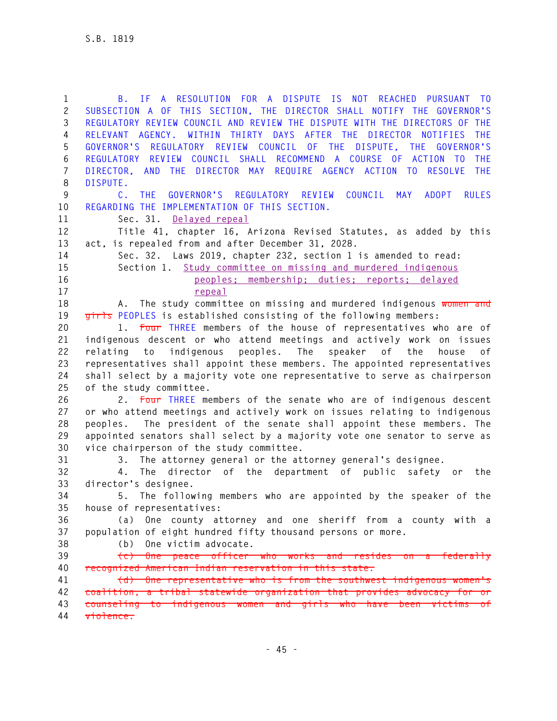**1 B. IF A RESOLUTION FOR A DISPUTE IS NOT REACHED PURSUANT TO 2 SUBSECTION A OF THIS SECTION, THE DIRECTOR SHALL NOTIFY THE GOVERNOR'S 3 REGULATORY REVIEW COUNCIL AND REVIEW THE DISPUTE WITH THE DIRECTORS OF THE 4 RELEVANT AGENCY. WITHIN THIRTY DAYS AFTER THE DIRECTOR NOTIFIES THE 5 GOVERNOR'S REGULATORY REVIEW COUNCIL OF THE DISPUTE, THE GOVERNOR'S 6 REGULATORY REVIEW COUNCIL SHALL RECOMMEND A COURSE OF ACTION TO THE 7 DIRECTOR, AND THE DIRECTOR MAY REQUIRE AGENCY ACTION TO RESOLVE THE 8 DISPUTE. 9 C. THE GOVERNOR'S REGULATORY REVIEW COUNCIL MAY ADOPT RULES 10 REGARDING THE IMPLEMENTATION OF THIS SECTION. 11 Sec. 31. Delayed repeal 12 Title 41, chapter 16, Arizona Revised Statutes, as added by this 13 act, is repealed from and after December 31, 2028. 14 Sec. 32. Laws 2019, chapter 232, section 1 is amended to read: 15 Section 1. Study committee on missing and murdered indigenous 16 peoples; membership; duties; reports; delayed 17 repeal 18 A. The study committee on missing and murdered indigenous women and 19 girls PEOPLES is established consisting of the following members: 20 1. Four THREE members of the house of representatives who are of 21 indigenous descent or who attend meetings and actively work on issues 22 relating to indigenous peoples. The speaker of the house of 23 representatives shall appoint these members. The appointed representatives 24 shall select by a majority vote one representative to serve as chairperson 25 of the study committee. 26 2. Four THREE members of the senate who are of indigenous descent 27 or who attend meetings and actively work on issues relating to indigenous 28 peoples. The president of the senate shall appoint these members. The 29 appointed senators shall select by a majority vote one senator to serve as 30 vice chairperson of the study committee. 31 3. The attorney general or the attorney general's designee. 32 4. The director of the department of public safety or the 33 director's designee. 34 5. The following members who are appointed by the speaker of the 35 house of representatives: 36 (a) One county attorney and one sheriff from a county with a 37 population of eight hundred fifty thousand persons or more. 38 (b) One victim advocate. 39 (c) One peace officer who works and resides on a federally 40 recognized American Indian reservation in this state. 41 (d) One representative who is from the southwest indigenous women's 42 coalition, a tribal statewide organization that provides advocacy for or 43 counseling to indigenous women and girls who have been victims of 44 violence.**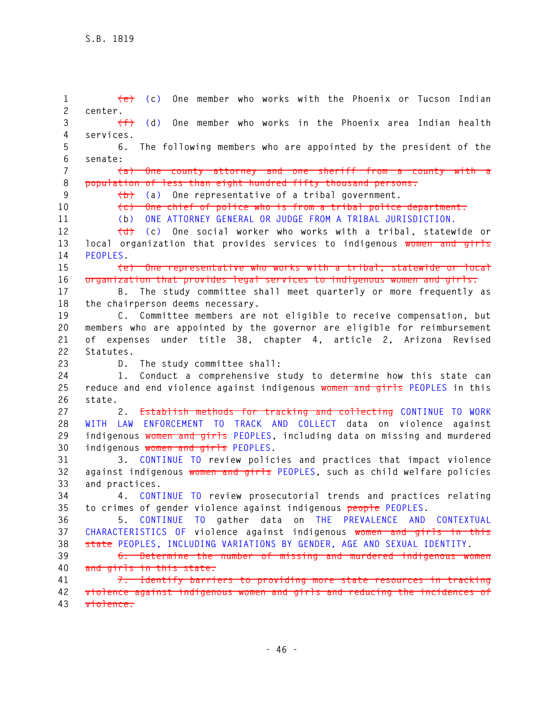**1 (e) (c) One member who works with the Phoenix or Tucson Indian 2 center. 3 (f) (d) One member who works in the Phoenix area Indian health 4 services. 5 6. The following members who are appointed by the president of the 6 senate: 7 (a) One county attorney and one sheriff from a county with a 8 population of less than eight hundred fifty thousand persons. 9 (b) (a) One representative of a tribal government. 10 (c) One chief of police who is from a tribal police department. 11 (b) ONE ATTORNEY GENERAL OR JUDGE FROM A TRIBAL JURISDICTION. 12 (d) (c) One social worker who works with a tribal, statewide or 13 local organization that provides services to indigenous women and girls 14 PEOPLES. 15 (e) One representative who works with a tribal, statewide or local 16 organization that provides legal services to indigenous women and girls. 17 B. The study committee shall meet quarterly or more frequently as 18 the chairperson deems necessary. 19 C. Committee members are not eligible to receive compensation, but 20 members who are appointed by the governor are eligible for reimbursement 21 of expenses under title 38, chapter 4, article 2, Arizona Revised 22 Statutes. 23 D. The study committee shall: 24 1. Conduct a comprehensive study to determine how this state can 25 reduce and end violence against indigenous women and girls PEOPLES in this 26 state. 27 2. Establish methods for tracking and collecting CONTINUE TO WORK 28 WITH LAW ENFORCEMENT TO TRACK AND COLLECT data on violence against 29 indigenous women and girls PEOPLES, including data on missing and murdered 30 indigenous women and girls PEOPLES. 31 3. CONTINUE TO review policies and practices that impact violence 32 against indigenous women and girls PEOPLES, such as child welfare policies 33 and practices. 34 4. CONTINUE TO review prosecutorial trends and practices relating 35 to crimes of gender violence against indigenous people PEOPLES. 36 5. CONTINUE TO gather data on THE PREVALENCE AND CONTEXTUAL 37 CHARACTERISTICS OF violence against indigenous women and girls in this 38 state PEOPLES, INCLUDING VARIATIONS BY GENDER, AGE AND SEXUAL IDENTITY. 39 6. Determine the number of missing and murdered indigenous women 40 and girls in this state. 41 7. Identify barriers to providing more state resources in tracking 42 violence against indigenous women and girls and reducing the incidences of 43 violence.**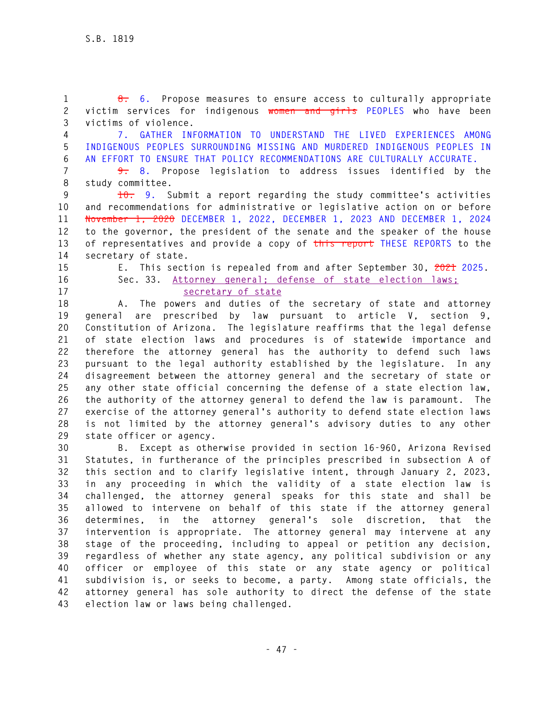**1 8. 6. Propose measures to ensure access to culturally appropriate 2 victim services for indigenous women and girls PEOPLES who have been 3 victims of violence.** 

**4 7. GATHER INFORMATION TO UNDERSTAND THE LIVED EXPERIENCES AMONG 5 INDIGENOUS PEOPLES SURROUNDING MISSING AND MURDERED INDIGENOUS PEOPLES IN 6 AN EFFORT TO ENSURE THAT POLICY RECOMMENDATIONS ARE CULTURALLY ACCURATE.** 

**7 9. 8. Propose legislation to address issues identified by the 8 study committee.** 

**9 10. 9. Submit a report regarding the study committee's activities 10 and recommendations for administrative or legislative action on or before 11 November 1, 2020 DECEMBER 1, 2022, DECEMBER 1, 2023 AND DECEMBER 1, 2024 12 to the governor, the president of the senate and the speaker of the house 13 of representatives and provide a copy of this report THESE REPORTS to the 14 secretary of state.** 

**15 E. This section is repealed from and after September 30, 2021 2025. 16 Sec. 33. Attorney general; defense of state election laws; 17 secretary of state**

**18 A. The powers and duties of the secretary of state and attorney 19 general are prescribed by law pursuant to article V, section 9, 20 Constitution of Arizona. The legislature reaffirms that the legal defense 21 of state election laws and procedures is of statewide importance and 22 therefore the attorney general has the authority to defend such laws 23 pursuant to the legal authority established by the legislature. In any 24 disagreement between the attorney general and the secretary of state or 25 any other state official concerning the defense of a state election law, 26 the authority of the attorney general to defend the law is paramount. The 27 exercise of the attorney general's authority to defend state election laws 28 is not limited by the attorney general's advisory duties to any other 29 state officer or agency.** 

**30 B. Except as otherwise provided in section 16-960, Arizona Revised 31 Statutes, in furtherance of the principles prescribed in subsection A of 32 this section and to clarify legislative intent, through January 2, 2023, 33 in any proceeding in which the validity of a state election law is 34 challenged, the attorney general speaks for this state and shall be 35 allowed to intervene on behalf of this state if the attorney general 36 determines, in the attorney general's sole discretion, that the 37 intervention is appropriate. The attorney general may intervene at any 38 stage of the proceeding, including to appeal or petition any decision, 39 regardless of whether any state agency, any political subdivision or any 40 officer or employee of this state or any state agency or political 41 subdivision is, or seeks to become, a party. Among state officials, the 42 attorney general has sole authority to direct the defense of the state 43 election law or laws being challenged.**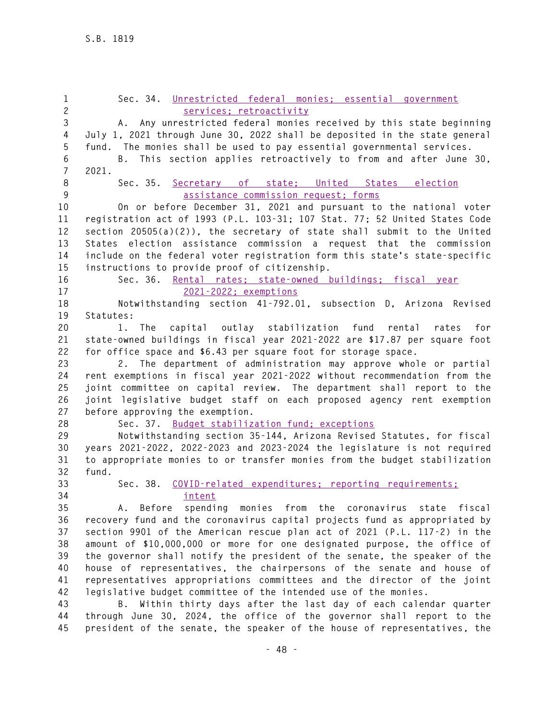| $\mathbf{1}$<br>$\mathbf{2}$ | Sec. 34. Unrestricted federal monies: essential government<br>services; retroactivity |
|------------------------------|---------------------------------------------------------------------------------------|
| 3                            | A. Any unrestricted federal monies received by this state beginning                   |
| 4                            |                                                                                       |
|                              | July 1, 2021 through June 30, 2022 shall be deposited in the state general            |
| 5                            | fund. The monies shall be used to pay essential governmental services.                |
| 6                            | B. This section applies retroactively to from and after June 30,                      |
| $\overline{7}$               | 2021.                                                                                 |
| 8                            | Sec. 35. Secretary of state; United States election                                   |
| 9                            | assistance commission request; forms                                                  |
| 10                           | On or before December 31, 2021 and pursuant to the national voter                     |
| 11                           | registration act of 1993 (P.L. 103-31; 107 Stat. 77; 52 United States Code            |
| 12                           | section 20505(a)(2)), the secretary of state shall submit to the United               |
| 13                           | States election assistance commission a request that the commission                   |
| 14                           | include on the federal voter registration form this state's state-specific            |
| 15                           | instructions to provide proof of citizenship.                                         |
| 16                           | Sec. 36. Rental rates; state-owned buildings; fiscal year                             |
| 17                           | 2021-2022; exemptions                                                                 |
| 18                           | Notwithstanding section 41-792.01, subsection D, Arizona Revised                      |
| 19                           | Statutes:                                                                             |
| 20                           | 1. The capital outlay stabilization fund rental rates<br>for                          |
| 21                           | state-owned buildings in fiscal year 2021-2022 are \$17.87 per square foot            |
| 22                           | for office space and \$6.43 per square foot for storage space.                        |
| 23                           | 2. The department of administration may approve whole or partial                      |
| 24                           | rent exemptions in fiscal year 2021-2022 without recommendation from the              |
| 25                           | joint committee on capital review. The department shall report to the                 |
| 26                           | joint legislative budget staff on each proposed agency rent exemption                 |
| 27                           | before approving the exemption.                                                       |
| 28                           | Sec. 37. Budget stabilization fund: exceptions                                        |
| 29                           | Notwithstanding section 35-144, Arizona Revised Statutes, for fiscal                  |
| 30                           | years 2021-2022, 2022-2023 and 2023-2024 the legislature is not required              |
| 31                           | to appropriate monies to or transfer monies from the budget stabilization             |
| 32                           | fund.                                                                                 |
| 33                           | Sec. 38. COVID-related expenditures; reporting requirements;                          |
| 34                           | intent                                                                                |
| 35                           | A. Before spending monies from the coronavirus state fiscal                           |
| 36                           | recovery fund and the coronavirus capital projects fund as appropriated by            |
| 37                           | section 9901 of the American rescue plan act of 2021 (P.L. 117-2) in the              |
| 38                           | amount of \$10,000,000 or more for one designated purpose, the office of              |
| 39                           | the governor shall notify the president of the senate, the speaker of the             |
| 40                           | house of representatives, the chairpersons of the senate and house of                 |
| 41                           | representatives appropriations committees and the director of the joint               |
| 42                           | legislative budget committee of the intended use of the monies.                       |
| 43                           | Within thirty days after the last day of each calendar quarter<br>В.                  |
| 44                           | through June 30, 2024, the office of the governor shall report to the                 |
| 45                           | president of the senate, the speaker of the house of representatives, the             |
|                              |                                                                                       |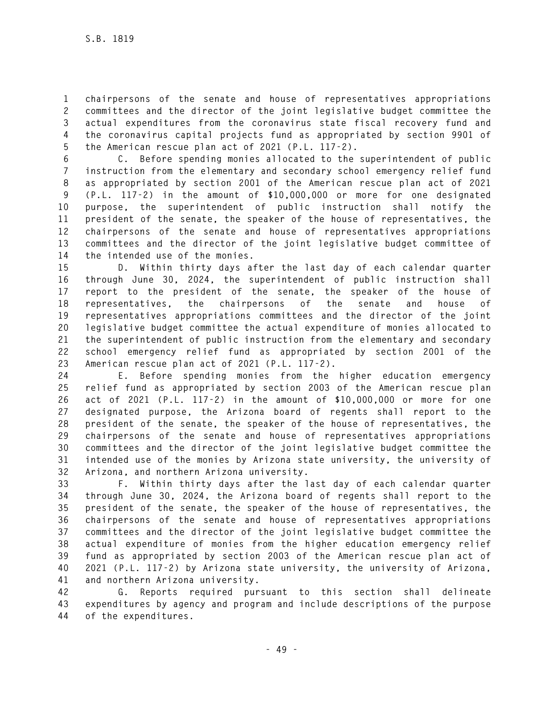**1 chairpersons of the senate and house of representatives appropriations 2 committees and the director of the joint legislative budget committee the 3 actual expenditures from the coronavirus state fiscal recovery fund and 4 the coronavirus capital projects fund as appropriated by section 9901 of 5 the American rescue plan act of 2021 (P.L. 117-2).** 

**6 C. Before spending monies allocated to the superintendent of public 7 instruction from the elementary and secondary school emergency relief fund 8 as appropriated by section 2001 of the American rescue plan act of 2021 9 (P.L. 117-2) in the amount of \$10,000,000 or more for one designated 10 purpose, the superintendent of public instruction shall notify the 11 president of the senate, the speaker of the house of representatives, the 12 chairpersons of the senate and house of representatives appropriations 13 committees and the director of the joint legislative budget committee of 14 the intended use of the monies.** 

**15 D. Within thirty days after the last day of each calendar quarter 16 through June 30, 2024, the superintendent of public instruction shall 17 report to the president of the senate, the speaker of the house of 18 representatives, the chairpersons of the senate and house of 19 representatives appropriations committees and the director of the joint 20 legislative budget committee the actual expenditure of monies allocated to 21 the superintendent of public instruction from the elementary and secondary 22 school emergency relief fund as appropriated by section 2001 of the 23 American rescue plan act of 2021 (P.L. 117-2).** 

**24 E. Before spending monies from the higher education emergency 25 relief fund as appropriated by section 2003 of the American rescue plan 26 act of 2021 (P.L. 117-2) in the amount of \$10,000,000 or more for one 27 designated purpose, the Arizona board of regents shall report to the 28 president of the senate, the speaker of the house of representatives, the 29 chairpersons of the senate and house of representatives appropriations 30 committees and the director of the joint legislative budget committee the 31 intended use of the monies by Arizona state university, the university of 32 Arizona, and northern Arizona university.** 

**33 F. Within thirty days after the last day of each calendar quarter 34 through June 30, 2024, the Arizona board of regents shall report to the 35 president of the senate, the speaker of the house of representatives, the 36 chairpersons of the senate and house of representatives appropriations 37 committees and the director of the joint legislative budget committee the 38 actual expenditure of monies from the higher education emergency relief 39 fund as appropriated by section 2003 of the American rescue plan act of 40 2021 (P.L. 117-2) by Arizona state university, the university of Arizona, 41 and northern Arizona university.** 

**42 G. Reports required pursuant to this section shall delineate 43 expenditures by agency and program and include descriptions of the purpose 44 of the expenditures.**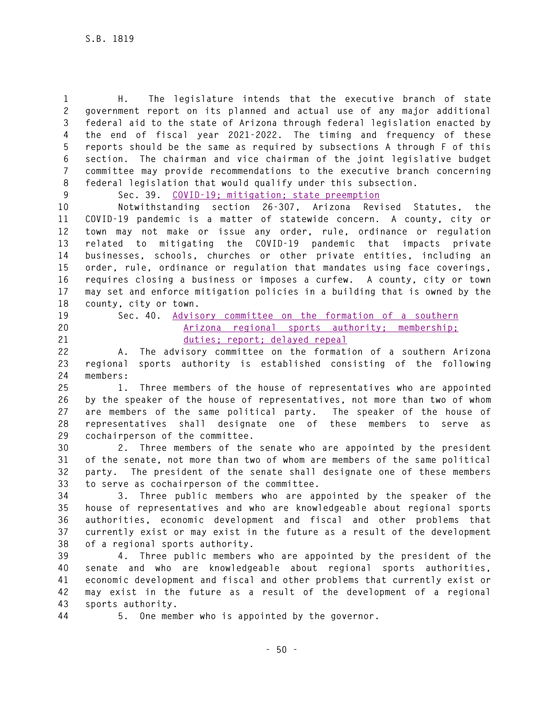**1 H. The legislature intends that the executive branch of state 2 government report on its planned and actual use of any major additional 3 federal aid to the state of Arizona through federal legislation enacted by 4 the end of fiscal year 2021-2022. The timing and frequency of these 5 reports should be the same as required by subsections A through F of this 6 section. The chairman and vice chairman of the joint legislative budget 7 committee may provide recommendations to the executive branch concerning 8 federal legislation that would qualify under this subsection.** 

**9 Sec. 39. COVID-19; mitigation; state preemption** 

**10 Notwithstanding section 26-307, Arizona Revised Statutes, the 11 COVID-19 pandemic is a matter of statewide concern. A county, city or 12 town may not make or issue any order, rule, ordinance or regulation 13 related to mitigating the COVID-19 pandemic that impacts private 14 businesses, schools, churches or other private entities, including an 15 order, rule, ordinance or regulation that mandates using face coverings, 16 requires closing a business or imposes a curfew. A county, city or town 17 may set and enforce mitigation policies in a building that is owned by the 18 county, city or town.** 

- 
- 

### **19 Sec. 40. Advisory committee on the formation of a southern 20 Arizona regional sports authority; membership; 21 duties; report; delayed repeal**

**22 A. The advisory committee on the formation of a southern Arizona 23 regional sports authority is established consisting of the following 24 members:** 

**25 1. Three members of the house of representatives who are appointed 26 by the speaker of the house of representatives, not more than two of whom 27 are members of the same political party. The speaker of the house of 28 representatives shall designate one of these members to serve as 29 cochairperson of the committee.** 

**30 2. Three members of the senate who are appointed by the president 31 of the senate, not more than two of whom are members of the same political 32 party. The president of the senate shall designate one of these members 33 to serve as cochairperson of the committee.** 

**34 3. Three public members who are appointed by the speaker of the 35 house of representatives and who are knowledgeable about regional sports 36 authorities, economic development and fiscal and other problems that 37 currently exist or may exist in the future as a result of the development 38 of a regional sports authority.** 

**39 4. Three public members who are appointed by the president of the 40 senate and who are knowledgeable about regional sports authorities, 41 economic development and fiscal and other problems that currently exist or 42 may exist in the future as a result of the development of a regional 43 sports authority.** 

**44 5. One member who is appointed by the governor.**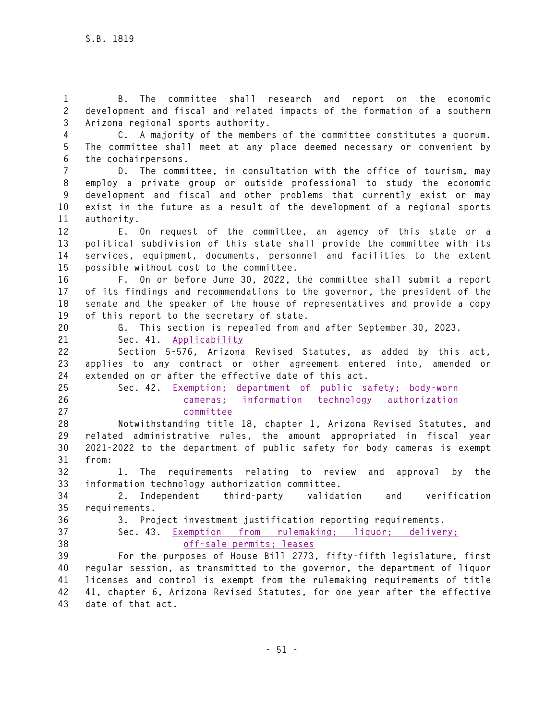**1 B. The committee shall research and report on the economic 2 development and fiscal and related impacts of the formation of a southern 3 Arizona regional sports authority.** 

**4 C. A majority of the members of the committee constitutes a quorum. 5 The committee shall meet at any place deemed necessary or convenient by 6 the cochairpersons.** 

**7 D. The committee, in consultation with the office of tourism, may 8 employ a private group or outside professional to study the economic 9 development and fiscal and other problems that currently exist or may 10 exist in the future as a result of the development of a regional sports 11 authority.** 

**12 E. On request of the committee, an agency of this state or a 13 political subdivision of this state shall provide the committee with its 14 services, equipment, documents, personnel and facilities to the extent 15 possible without cost to the committee.** 

**16 F. On or before June 30, 2022, the committee shall submit a report 17 of its findings and recommendations to the governor, the president of the 18 senate and the speaker of the house of representatives and provide a copy 19 of this report to the secretary of state.** 

**20 G. This section is repealed from and after September 30, 2023. 21 Sec. 41. Applicability**

**22 Section 5-576, Arizona Revised Statutes, as added by this act, 23 applies to any contract or other agreement entered into, amended or 24 extended on or after the effective date of this act.** 

**25 Sec. 42. Exemption; department of public safety; body-worn 26 cameras; information technology authorization 27 committee** 

**28 Notwithstanding title 18, chapter 1, Arizona Revised Statutes, and 29 related administrative rules, the amount appropriated in fiscal year 30 2021-2022 to the department of public safety for body cameras is exempt 31 from:** 

**32 1. The requirements relating to review and approval by the 33 information technology authorization committee.** 

**34 2. Independent third-party validation and verification 35 requirements.** 

**36 3. Project investment justification reporting requirements.** 

**37 Sec. 43. Exemption from rulemaking; liquor; delivery;** 

**38 off-sale permits; leases**

**39 For the purposes of House Bill 2773, fifty-fifth legislature, first 40 regular session, as transmitted to the governor, the department of liquor 41 licenses and control is exempt from the rulemaking requirements of title 42 41, chapter 6, Arizona Revised Statutes, for one year after the effective 43 date of that act.**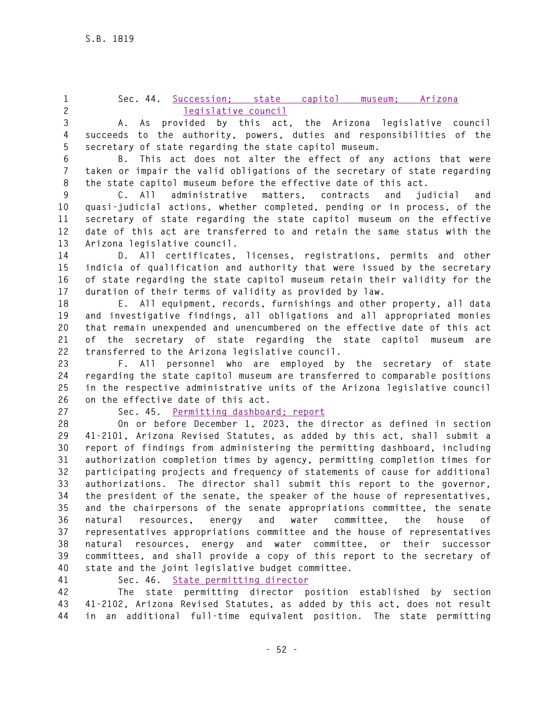#### **1 Sec. 44. Succession; state capitol museum; Arizona 2 legislative council**

**3 A. As provided by this act, the Arizona legislative council 4 succeeds to the authority, powers, duties and responsibilities of the 5 secretary of state regarding the state capitol museum.** 

**6 B. This act does not alter the effect of any actions that were 7 taken or impair the valid obligations of the secretary of state regarding 8 the state capitol museum before the effective date of this act.** 

**9 C. All administrative matters, contracts and judicial and 10 quasi-judicial actions, whether completed, pending or in process, of the 11 secretary of state regarding the state capitol museum on the effective 12 date of this act are transferred to and retain the same status with the 13 Arizona legislative council.** 

**14 D. All certificates, licenses, registrations, permits and other 15 indicia of qualification and authority that were issued by the secretary 16 of state regarding the state capitol museum retain their validity for the 17 duration of their terms of validity as provided by law.** 

**18 E. All equipment, records, furnishings and other property, all data 19 and investigative findings, all obligations and all appropriated monies 20 that remain unexpended and unencumbered on the effective date of this act 21 of the secretary of state regarding the state capitol museum are 22 transferred to the Arizona legislative council.** 

**23 F. All personnel who are employed by the secretary of state 24 regarding the state capitol museum are transferred to comparable positions 25 in the respective administrative units of the Arizona legislative council 26 on the effective date of this act.** 

**27 Sec. 45. Permitting dashboard; report**

**28 On or before December 1, 2023, the director as defined in section 29 41-2101, Arizona Revised Statutes, as added by this act, shall submit a 30 report of findings from administering the permitting dashboard, including 31 authorization completion times by agency, permitting completion times for 32 participating projects and frequency of statements of cause for additional 33 authorizations. The director shall submit this report to the governor, 34 the president of the senate, the speaker of the house of representatives, 35 and the chairpersons of the senate appropriations committee, the senate 36 natural resources, energy and water committee, the house of 37 representatives appropriations committee and the house of representatives 38 natural resources, energy and water committee, or their successor 39 committees, and shall provide a copy of this report to the secretary of 40 state and the joint legislative budget committee.** 

**41 Sec. 46. State permitting director**

**42 The state permitting director position established by section 43 41-2102, Arizona Revised Statutes, as added by this act, does not result 44 in an additional full-time equivalent position. The state permitting**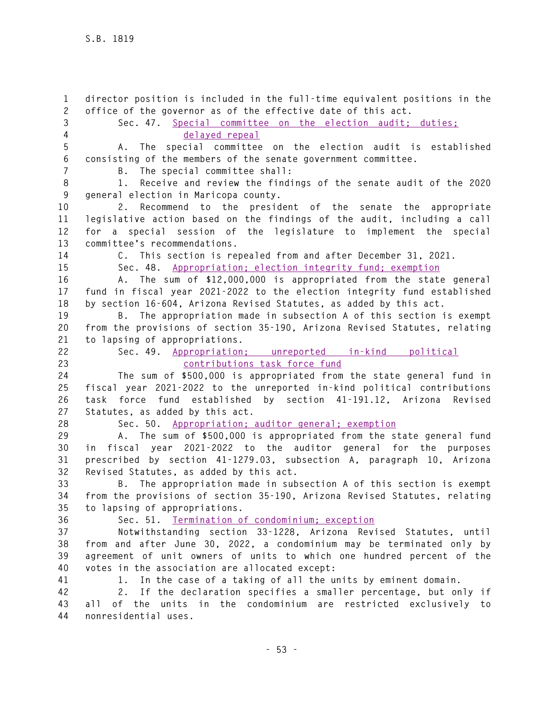**1 director position is included in the full-time equivalent positions in the 2 office of the governor as of the effective date of this act. 3 Sec. 47. Special committee on the election audit; duties; 4 delayed repeal 5 A. The special committee on the election audit is established 6 consisting of the members of the senate government committee. 7 B. The special committee shall: 8 1. Receive and review the findings of the senate audit of the 2020 9 general election in Maricopa county. 10 2. Recommend to the president of the senate the appropriate 11 legislative action based on the findings of the audit, including a call 12 for a special session of the legislature to implement the special 13 committee's recommendations. 14 C. This section is repealed from and after December 31, 2021. 15 Sec. 48. Appropriation; election integrity fund; exemption 16 A. The sum of \$12,000,000 is appropriated from the state general 17 fund in fiscal year 2021-2022 to the election integrity fund established 18 by section 16-604, Arizona Revised Statutes, as added by this act. 19 B. The appropriation made in subsection A of this section is exempt 20 from the provisions of section 35-190, Arizona Revised Statutes, relating 21 to lapsing of appropriations. 22 Sec. 49. Appropriation; unreported in-kind political 23 contributions task force fund 24 The sum of \$500,000 is appropriated from the state general fund in 25 fiscal year 2021-2022 to the unreported in-kind political contributions 26 task force fund established by section 41-191.12, Arizona Revised 27 Statutes, as added by this act. 28 Sec. 50. Appropriation; auditor general; exemption 29 A. The sum of \$500,000 is appropriated from the state general fund 30 in fiscal year 2021-2022 to the auditor general for the purposes 31 prescribed by section 41-1279.03, subsection A, paragraph 10, Arizona 32 Revised Statutes, as added by this act. 33 B. The appropriation made in subsection A of this section is exempt 34 from the provisions of section 35-190, Arizona Revised Statutes, relating 35 to lapsing of appropriations. 36 Sec. 51. Termination of condominium; exception 37 Notwithstanding section 33-1228, Arizona Revised Statutes, until 38 from and after June 30, 2022, a condominium may be terminated only by 39 agreement of unit owners of units to which one hundred percent of the 40 votes in the association are allocated except: 41 1. In the case of a taking of all the units by eminent domain. 42 2. If the declaration specifies a smaller percentage, but only if 43 all of the units in the condominium are restricted exclusively to** 

**44 nonresidential uses.**